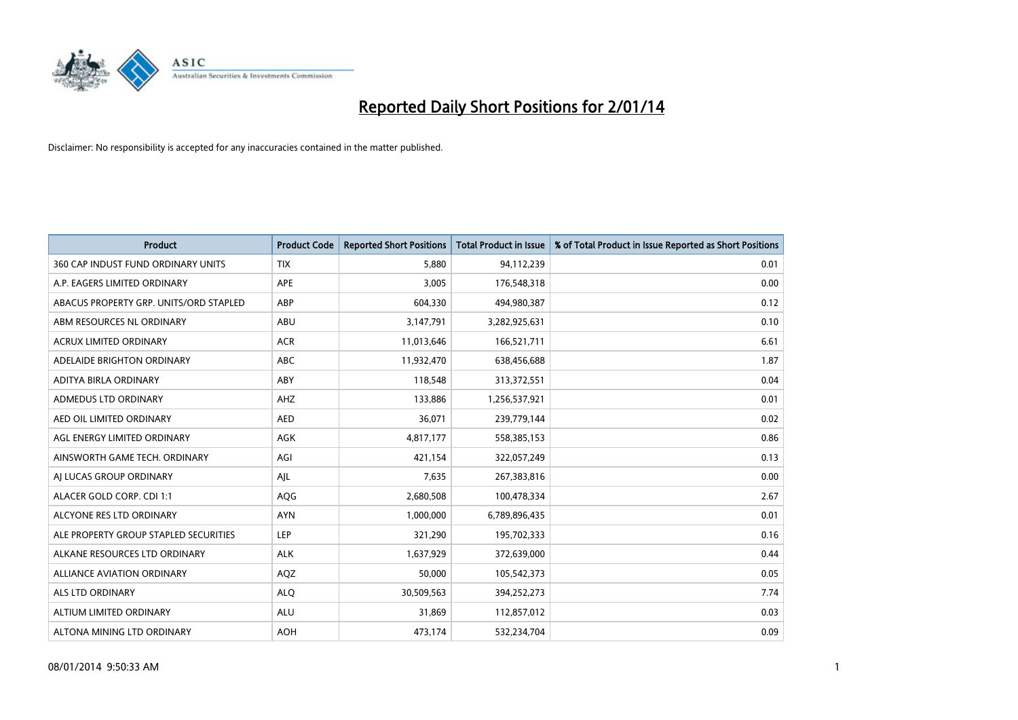

| <b>Product</b>                         | <b>Product Code</b> | <b>Reported Short Positions</b> | <b>Total Product in Issue</b> | % of Total Product in Issue Reported as Short Positions |
|----------------------------------------|---------------------|---------------------------------|-------------------------------|---------------------------------------------------------|
| 360 CAP INDUST FUND ORDINARY UNITS     | <b>TIX</b>          | 5,880                           | 94,112,239                    | 0.01                                                    |
| A.P. EAGERS LIMITED ORDINARY           | APE                 | 3,005                           | 176,548,318                   | 0.00                                                    |
| ABACUS PROPERTY GRP. UNITS/ORD STAPLED | ABP                 | 604,330                         | 494,980,387                   | 0.12                                                    |
| ABM RESOURCES NL ORDINARY              | ABU                 | 3,147,791                       | 3,282,925,631                 | 0.10                                                    |
| <b>ACRUX LIMITED ORDINARY</b>          | <b>ACR</b>          | 11,013,646                      | 166,521,711                   | 6.61                                                    |
| ADELAIDE BRIGHTON ORDINARY             | <b>ABC</b>          | 11,932,470                      | 638,456,688                   | 1.87                                                    |
| ADITYA BIRLA ORDINARY                  | ABY                 | 118,548                         | 313,372,551                   | 0.04                                                    |
| ADMEDUS LTD ORDINARY                   | AHZ                 | 133,886                         | 1,256,537,921                 | 0.01                                                    |
| AED OIL LIMITED ORDINARY               | <b>AED</b>          | 36,071                          | 239,779,144                   | 0.02                                                    |
| AGL ENERGY LIMITED ORDINARY            | <b>AGK</b>          | 4,817,177                       | 558,385,153                   | 0.86                                                    |
| AINSWORTH GAME TECH. ORDINARY          | AGI                 | 421,154                         | 322,057,249                   | 0.13                                                    |
| AI LUCAS GROUP ORDINARY                | AJL                 | 7,635                           | 267,383,816                   | 0.00                                                    |
| ALACER GOLD CORP. CDI 1:1              | AQG                 | 2,680,508                       | 100,478,334                   | 2.67                                                    |
| ALCYONE RES LTD ORDINARY               | <b>AYN</b>          | 1,000,000                       | 6,789,896,435                 | 0.01                                                    |
| ALE PROPERTY GROUP STAPLED SECURITIES  | <b>LEP</b>          | 321,290                         | 195,702,333                   | 0.16                                                    |
| ALKANE RESOURCES LTD ORDINARY          | <b>ALK</b>          | 1,637,929                       | 372,639,000                   | 0.44                                                    |
| ALLIANCE AVIATION ORDINARY             | AQZ                 | 50,000                          | 105,542,373                   | 0.05                                                    |
| <b>ALS LTD ORDINARY</b>                | <b>ALQ</b>          | 30,509,563                      | 394,252,273                   | 7.74                                                    |
| ALTIUM LIMITED ORDINARY                | <b>ALU</b>          | 31,869                          | 112,857,012                   | 0.03                                                    |
| ALTONA MINING LTD ORDINARY             | <b>AOH</b>          | 473,174                         | 532,234,704                   | 0.09                                                    |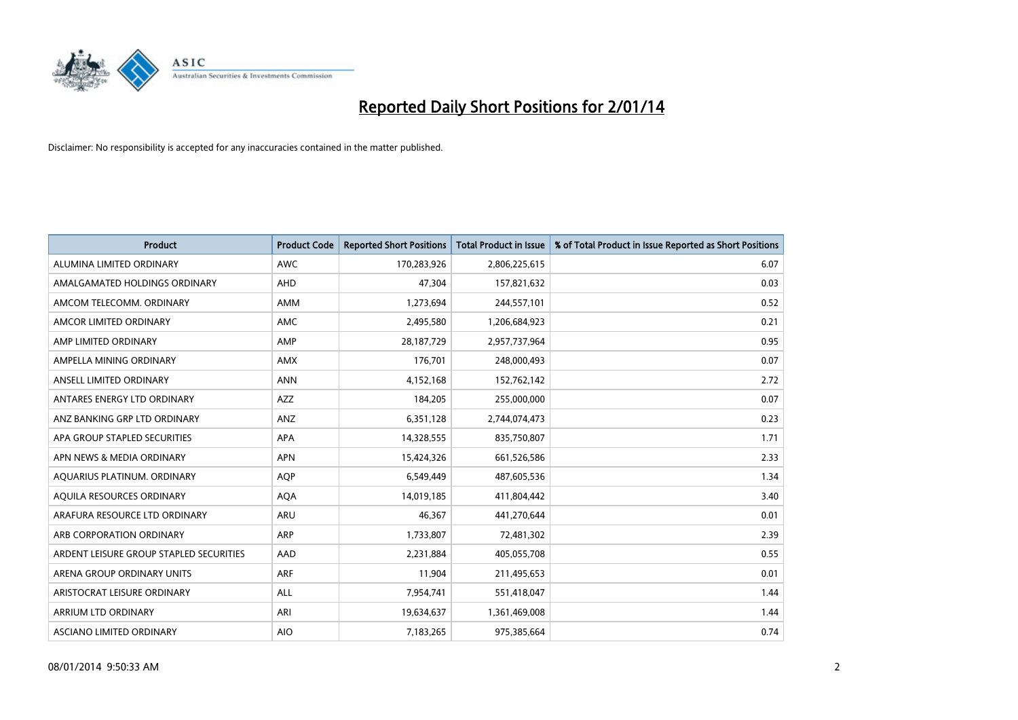

| <b>Product</b>                          | <b>Product Code</b> | <b>Reported Short Positions</b> | <b>Total Product in Issue</b> | % of Total Product in Issue Reported as Short Positions |
|-----------------------------------------|---------------------|---------------------------------|-------------------------------|---------------------------------------------------------|
| ALUMINA LIMITED ORDINARY                | <b>AWC</b>          | 170,283,926                     | 2,806,225,615                 | 6.07                                                    |
| AMALGAMATED HOLDINGS ORDINARY           | AHD                 | 47,304                          | 157,821,632                   | 0.03                                                    |
| AMCOM TELECOMM. ORDINARY                | AMM                 | 1,273,694                       | 244,557,101                   | 0.52                                                    |
| AMCOR LIMITED ORDINARY                  | AMC                 | 2,495,580                       | 1,206,684,923                 | 0.21                                                    |
| AMP LIMITED ORDINARY                    | AMP                 | 28,187,729                      | 2,957,737,964                 | 0.95                                                    |
| AMPELLA MINING ORDINARY                 | <b>AMX</b>          | 176,701                         | 248,000,493                   | 0.07                                                    |
| ANSELL LIMITED ORDINARY                 | <b>ANN</b>          | 4,152,168                       | 152,762,142                   | 2.72                                                    |
| ANTARES ENERGY LTD ORDINARY             | AZZ                 | 184,205                         | 255,000,000                   | 0.07                                                    |
| ANZ BANKING GRP LTD ORDINARY            | ANZ                 | 6,351,128                       | 2,744,074,473                 | 0.23                                                    |
| APA GROUP STAPLED SECURITIES            | <b>APA</b>          | 14,328,555                      | 835,750,807                   | 1.71                                                    |
| APN NEWS & MEDIA ORDINARY               | <b>APN</b>          | 15,424,326                      | 661,526,586                   | 2.33                                                    |
| AQUARIUS PLATINUM. ORDINARY             | <b>AOP</b>          | 6,549,449                       | 487,605,536                   | 1.34                                                    |
| AQUILA RESOURCES ORDINARY               | <b>AQA</b>          | 14,019,185                      | 411,804,442                   | 3.40                                                    |
| ARAFURA RESOURCE LTD ORDINARY           | <b>ARU</b>          | 46,367                          | 441,270,644                   | 0.01                                                    |
| ARB CORPORATION ORDINARY                | <b>ARP</b>          | 1,733,807                       | 72,481,302                    | 2.39                                                    |
| ARDENT LEISURE GROUP STAPLED SECURITIES | AAD                 | 2,231,884                       | 405,055,708                   | 0.55                                                    |
| ARENA GROUP ORDINARY UNITS              | <b>ARF</b>          | 11,904                          | 211,495,653                   | 0.01                                                    |
| ARISTOCRAT LEISURE ORDINARY             | ALL                 | 7,954,741                       | 551,418,047                   | 1.44                                                    |
| ARRIUM LTD ORDINARY                     | ARI                 | 19,634,637                      | 1,361,469,008                 | 1.44                                                    |
| ASCIANO LIMITED ORDINARY                | <b>AIO</b>          | 7,183,265                       | 975,385,664                   | 0.74                                                    |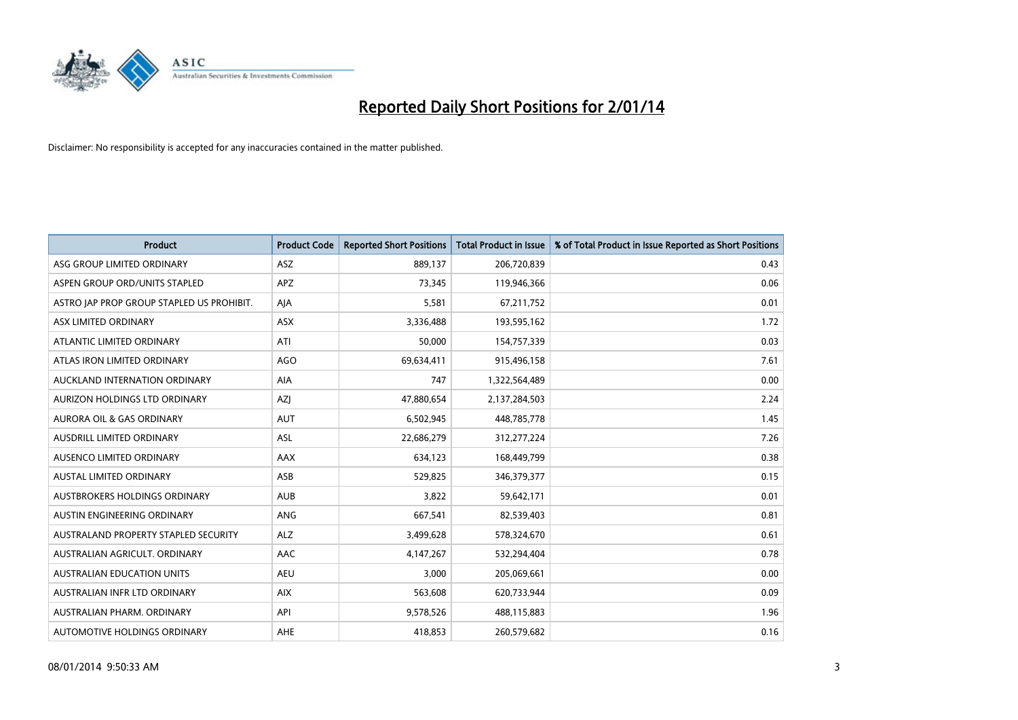

| <b>Product</b>                            | <b>Product Code</b> | <b>Reported Short Positions</b> | <b>Total Product in Issue</b> | % of Total Product in Issue Reported as Short Positions |
|-------------------------------------------|---------------------|---------------------------------|-------------------------------|---------------------------------------------------------|
| ASG GROUP LIMITED ORDINARY                | ASZ                 | 889,137                         | 206,720,839                   | 0.43                                                    |
| ASPEN GROUP ORD/UNITS STAPLED             | APZ                 | 73,345                          | 119,946,366                   | 0.06                                                    |
| ASTRO JAP PROP GROUP STAPLED US PROHIBIT. | AJA                 | 5,581                           | 67,211,752                    | 0.01                                                    |
| ASX LIMITED ORDINARY                      | ASX                 | 3,336,488                       | 193,595,162                   | 1.72                                                    |
| ATLANTIC LIMITED ORDINARY                 | ATI                 | 50,000                          | 154,757,339                   | 0.03                                                    |
| ATLAS IRON LIMITED ORDINARY               | <b>AGO</b>          | 69,634,411                      | 915,496,158                   | 7.61                                                    |
| AUCKLAND INTERNATION ORDINARY             | AIA                 | 747                             | 1,322,564,489                 | 0.00                                                    |
| AURIZON HOLDINGS LTD ORDINARY             | AZJ                 | 47,880,654                      | 2,137,284,503                 | 2.24                                                    |
| <b>AURORA OIL &amp; GAS ORDINARY</b>      | <b>AUT</b>          | 6,502,945                       | 448,785,778                   | 1.45                                                    |
| AUSDRILL LIMITED ORDINARY                 | <b>ASL</b>          | 22,686,279                      | 312,277,224                   | 7.26                                                    |
| AUSENCO LIMITED ORDINARY                  | AAX                 | 634,123                         | 168,449,799                   | 0.38                                                    |
| AUSTAL LIMITED ORDINARY                   | ASB                 | 529,825                         | 346,379,377                   | 0.15                                                    |
| <b>AUSTBROKERS HOLDINGS ORDINARY</b>      | <b>AUB</b>          | 3,822                           | 59,642,171                    | 0.01                                                    |
| AUSTIN ENGINEERING ORDINARY               | <b>ANG</b>          | 667,541                         | 82,539,403                    | 0.81                                                    |
| AUSTRALAND PROPERTY STAPLED SECURITY      | <b>ALZ</b>          | 3,499,628                       | 578,324,670                   | 0.61                                                    |
| AUSTRALIAN AGRICULT. ORDINARY             | AAC                 | 4,147,267                       | 532,294,404                   | 0.78                                                    |
| <b>AUSTRALIAN EDUCATION UNITS</b>         | <b>AEU</b>          | 3,000                           | 205,069,661                   | 0.00                                                    |
| AUSTRALIAN INFR LTD ORDINARY              | <b>AIX</b>          | 563,608                         | 620,733,944                   | 0.09                                                    |
| AUSTRALIAN PHARM, ORDINARY                | API                 | 9,578,526                       | 488,115,883                   | 1.96                                                    |
| AUTOMOTIVE HOLDINGS ORDINARY              | <b>AHE</b>          | 418,853                         | 260,579,682                   | 0.16                                                    |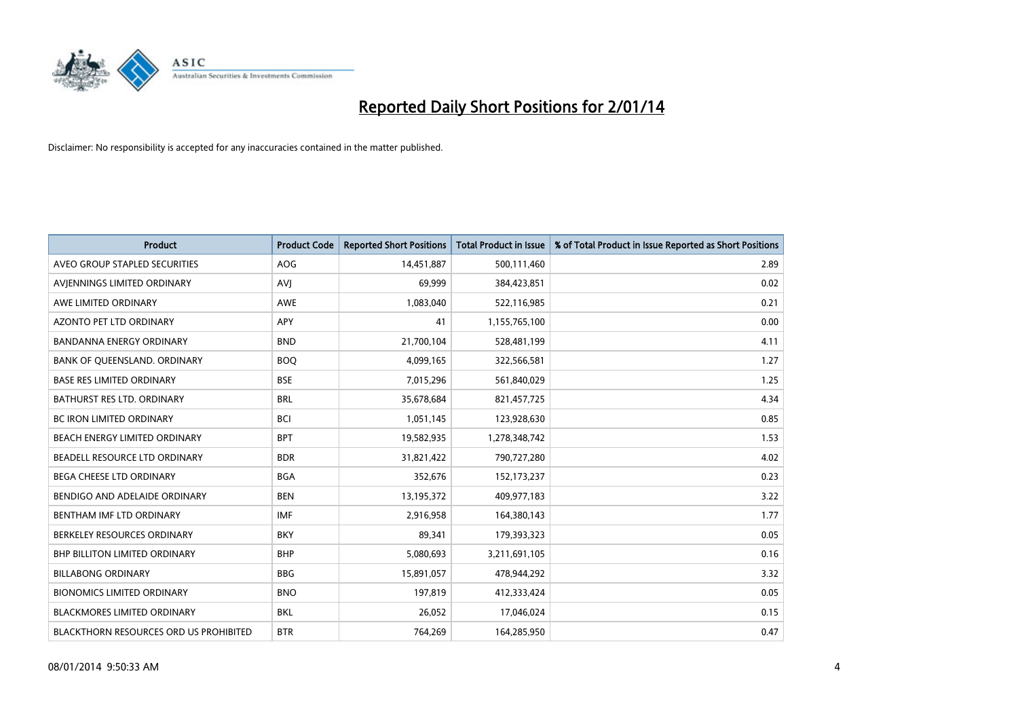

| <b>Product</b>                         | <b>Product Code</b> | <b>Reported Short Positions</b> | <b>Total Product in Issue</b> | % of Total Product in Issue Reported as Short Positions |
|----------------------------------------|---------------------|---------------------------------|-------------------------------|---------------------------------------------------------|
| AVEO GROUP STAPLED SECURITIES          | AOG                 | 14,451,887                      | 500,111,460                   | 2.89                                                    |
| AVIENNINGS LIMITED ORDINARY            | <b>AVI</b>          | 69,999                          | 384,423,851                   | 0.02                                                    |
| AWE LIMITED ORDINARY                   | AWE                 | 1,083,040                       | 522,116,985                   | 0.21                                                    |
| <b>AZONTO PET LTD ORDINARY</b>         | APY                 | 41                              | 1,155,765,100                 | 0.00                                                    |
| <b>BANDANNA ENERGY ORDINARY</b>        | <b>BND</b>          | 21,700,104                      | 528,481,199                   | 4.11                                                    |
| BANK OF QUEENSLAND. ORDINARY           | <b>BOO</b>          | 4,099,165                       | 322,566,581                   | 1.27                                                    |
| <b>BASE RES LIMITED ORDINARY</b>       | <b>BSE</b>          | 7,015,296                       | 561,840,029                   | 1.25                                                    |
| BATHURST RES LTD. ORDINARY             | <b>BRL</b>          | 35,678,684                      | 821,457,725                   | 4.34                                                    |
| BC IRON LIMITED ORDINARY               | <b>BCI</b>          | 1,051,145                       | 123,928,630                   | 0.85                                                    |
| BEACH ENERGY LIMITED ORDINARY          | <b>BPT</b>          | 19,582,935                      | 1,278,348,742                 | 1.53                                                    |
| BEADELL RESOURCE LTD ORDINARY          | <b>BDR</b>          | 31,821,422                      | 790,727,280                   | 4.02                                                    |
| <b>BEGA CHEESE LTD ORDINARY</b>        | <b>BGA</b>          | 352,676                         | 152,173,237                   | 0.23                                                    |
| BENDIGO AND ADELAIDE ORDINARY          | <b>BEN</b>          | 13,195,372                      | 409,977,183                   | 3.22                                                    |
| BENTHAM IMF LTD ORDINARY               | <b>IMF</b>          | 2,916,958                       | 164,380,143                   | 1.77                                                    |
| BERKELEY RESOURCES ORDINARY            | <b>BKY</b>          | 89,341                          | 179,393,323                   | 0.05                                                    |
| <b>BHP BILLITON LIMITED ORDINARY</b>   | <b>BHP</b>          | 5,080,693                       | 3,211,691,105                 | 0.16                                                    |
| <b>BILLABONG ORDINARY</b>              | <b>BBG</b>          | 15,891,057                      | 478,944,292                   | 3.32                                                    |
| <b>BIONOMICS LIMITED ORDINARY</b>      | <b>BNO</b>          | 197,819                         | 412,333,424                   | 0.05                                                    |
| <b>BLACKMORES LIMITED ORDINARY</b>     | <b>BKL</b>          | 26,052                          | 17,046,024                    | 0.15                                                    |
| BLACKTHORN RESOURCES ORD US PROHIBITED | <b>BTR</b>          | 764,269                         | 164,285,950                   | 0.47                                                    |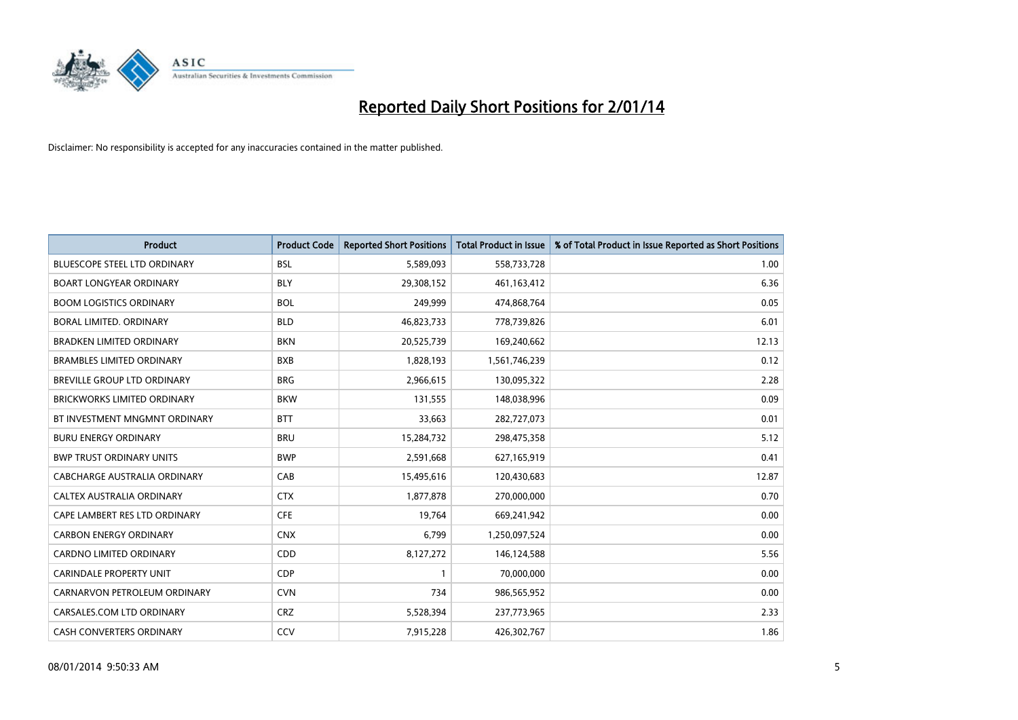

| <b>Product</b>                      | <b>Product Code</b> | <b>Reported Short Positions</b> | <b>Total Product in Issue</b> | % of Total Product in Issue Reported as Short Positions |
|-------------------------------------|---------------------|---------------------------------|-------------------------------|---------------------------------------------------------|
| <b>BLUESCOPE STEEL LTD ORDINARY</b> | <b>BSL</b>          | 5,589,093                       | 558,733,728                   | 1.00                                                    |
| <b>BOART LONGYEAR ORDINARY</b>      | <b>BLY</b>          | 29,308,152                      | 461,163,412                   | 6.36                                                    |
| <b>BOOM LOGISTICS ORDINARY</b>      | <b>BOL</b>          | 249,999                         | 474,868,764                   | 0.05                                                    |
| BORAL LIMITED. ORDINARY             | <b>BLD</b>          | 46,823,733                      | 778,739,826                   | 6.01                                                    |
| <b>BRADKEN LIMITED ORDINARY</b>     | <b>BKN</b>          | 20,525,739                      | 169,240,662                   | 12.13                                                   |
| <b>BRAMBLES LIMITED ORDINARY</b>    | <b>BXB</b>          | 1,828,193                       | 1,561,746,239                 | 0.12                                                    |
| BREVILLE GROUP LTD ORDINARY         | <b>BRG</b>          | 2,966,615                       | 130,095,322                   | 2.28                                                    |
| <b>BRICKWORKS LIMITED ORDINARY</b>  | <b>BKW</b>          | 131,555                         | 148,038,996                   | 0.09                                                    |
| BT INVESTMENT MNGMNT ORDINARY       | <b>BTT</b>          | 33,663                          | 282,727,073                   | 0.01                                                    |
| <b>BURU ENERGY ORDINARY</b>         | <b>BRU</b>          | 15,284,732                      | 298,475,358                   | 5.12                                                    |
| <b>BWP TRUST ORDINARY UNITS</b>     | <b>BWP</b>          | 2,591,668                       | 627,165,919                   | 0.41                                                    |
| CABCHARGE AUSTRALIA ORDINARY        | CAB                 | 15,495,616                      | 120,430,683                   | 12.87                                                   |
| CALTEX AUSTRALIA ORDINARY           | <b>CTX</b>          | 1,877,878                       | 270,000,000                   | 0.70                                                    |
| CAPE LAMBERT RES LTD ORDINARY       | <b>CFE</b>          | 19,764                          | 669,241,942                   | 0.00                                                    |
| <b>CARBON ENERGY ORDINARY</b>       | <b>CNX</b>          | 6,799                           | 1,250,097,524                 | 0.00                                                    |
| CARDNO LIMITED ORDINARY             | CDD                 | 8,127,272                       | 146,124,588                   | 5.56                                                    |
| CARINDALE PROPERTY UNIT             | <b>CDP</b>          | 1                               | 70,000,000                    | 0.00                                                    |
| CARNARVON PETROLEUM ORDINARY        | <b>CVN</b>          | 734                             | 986,565,952                   | 0.00                                                    |
| CARSALES.COM LTD ORDINARY           | <b>CRZ</b>          | 5,528,394                       | 237,773,965                   | 2.33                                                    |
| CASH CONVERTERS ORDINARY            | CCV                 | 7,915,228                       | 426,302,767                   | 1.86                                                    |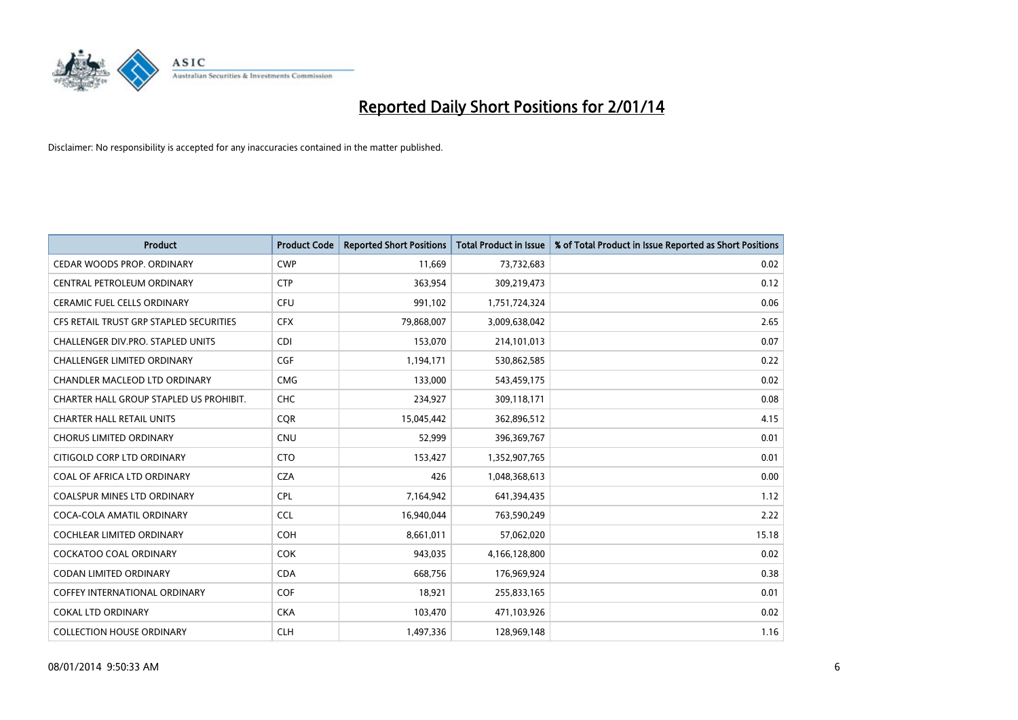

| <b>Product</b>                          | <b>Product Code</b> | <b>Reported Short Positions</b> | <b>Total Product in Issue</b> | % of Total Product in Issue Reported as Short Positions |
|-----------------------------------------|---------------------|---------------------------------|-------------------------------|---------------------------------------------------------|
| CEDAR WOODS PROP. ORDINARY              | <b>CWP</b>          | 11,669                          | 73,732,683                    | 0.02                                                    |
| CENTRAL PETROLEUM ORDINARY              | <b>CTP</b>          | 363,954                         | 309,219,473                   | 0.12                                                    |
| <b>CERAMIC FUEL CELLS ORDINARY</b>      | <b>CFU</b>          | 991,102                         | 1,751,724,324                 | 0.06                                                    |
| CFS RETAIL TRUST GRP STAPLED SECURITIES | <b>CFX</b>          | 79,868,007                      | 3,009,638,042                 | 2.65                                                    |
| CHALLENGER DIV.PRO. STAPLED UNITS       | <b>CDI</b>          | 153,070                         | 214,101,013                   | 0.07                                                    |
| <b>CHALLENGER LIMITED ORDINARY</b>      | <b>CGF</b>          | 1,194,171                       | 530,862,585                   | 0.22                                                    |
| CHANDLER MACLEOD LTD ORDINARY           | <b>CMG</b>          | 133,000                         | 543,459,175                   | 0.02                                                    |
| CHARTER HALL GROUP STAPLED US PROHIBIT. | <b>CHC</b>          | 234,927                         | 309,118,171                   | 0.08                                                    |
| <b>CHARTER HALL RETAIL UNITS</b>        | <b>COR</b>          | 15,045,442                      | 362,896,512                   | 4.15                                                    |
| <b>CHORUS LIMITED ORDINARY</b>          | <b>CNU</b>          | 52,999                          | 396,369,767                   | 0.01                                                    |
| CITIGOLD CORP LTD ORDINARY              | <b>CTO</b>          | 153,427                         | 1,352,907,765                 | 0.01                                                    |
| COAL OF AFRICA LTD ORDINARY             | <b>CZA</b>          | 426                             | 1,048,368,613                 | 0.00                                                    |
| COALSPUR MINES LTD ORDINARY             | <b>CPL</b>          | 7,164,942                       | 641,394,435                   | 1.12                                                    |
| COCA-COLA AMATIL ORDINARY               | <b>CCL</b>          | 16,940,044                      | 763,590,249                   | 2.22                                                    |
| <b>COCHLEAR LIMITED ORDINARY</b>        | <b>COH</b>          | 8,661,011                       | 57,062,020                    | 15.18                                                   |
| COCKATOO COAL ORDINARY                  | <b>COK</b>          | 943,035                         | 4,166,128,800                 | 0.02                                                    |
| CODAN LIMITED ORDINARY                  | <b>CDA</b>          | 668,756                         | 176,969,924                   | 0.38                                                    |
| <b>COFFEY INTERNATIONAL ORDINARY</b>    | <b>COF</b>          | 18,921                          | 255,833,165                   | 0.01                                                    |
| <b>COKAL LTD ORDINARY</b>               | <b>CKA</b>          | 103,470                         | 471,103,926                   | 0.02                                                    |
| <b>COLLECTION HOUSE ORDINARY</b>        | <b>CLH</b>          | 1,497,336                       | 128,969,148                   | 1.16                                                    |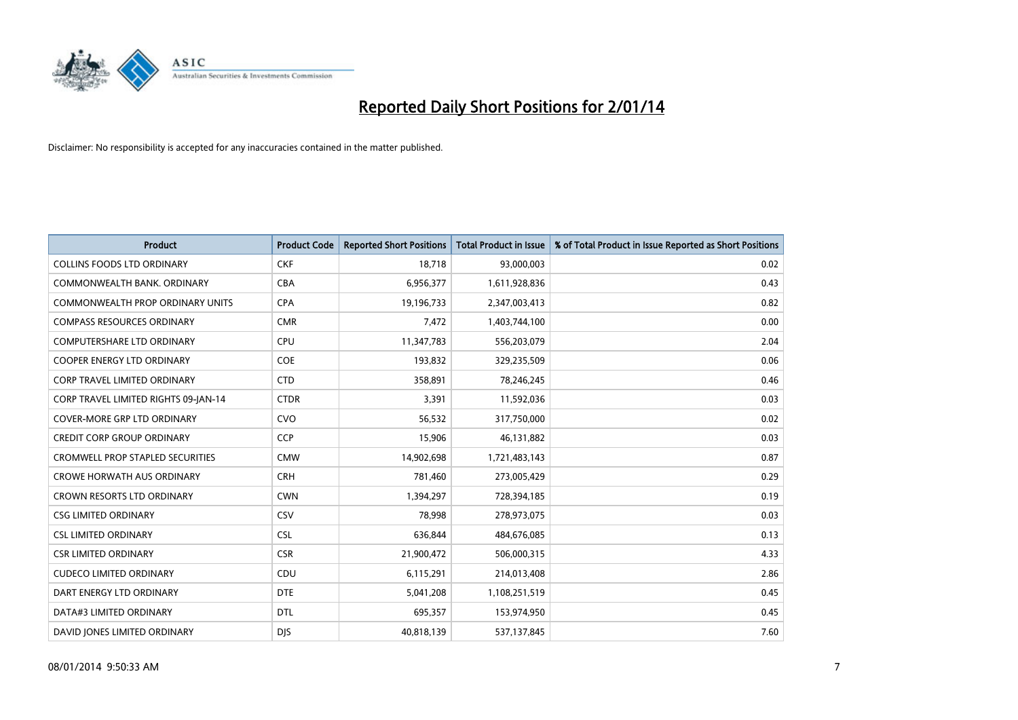

| <b>Product</b>                          | <b>Product Code</b> | <b>Reported Short Positions</b> | <b>Total Product in Issue</b> | % of Total Product in Issue Reported as Short Positions |
|-----------------------------------------|---------------------|---------------------------------|-------------------------------|---------------------------------------------------------|
| <b>COLLINS FOODS LTD ORDINARY</b>       | <b>CKF</b>          | 18,718                          | 93,000,003                    | 0.02                                                    |
| COMMONWEALTH BANK, ORDINARY             | <b>CBA</b>          | 6,956,377                       | 1,611,928,836                 | 0.43                                                    |
| <b>COMMONWEALTH PROP ORDINARY UNITS</b> | <b>CPA</b>          | 19,196,733                      | 2,347,003,413                 | 0.82                                                    |
| <b>COMPASS RESOURCES ORDINARY</b>       | <b>CMR</b>          | 7,472                           | 1,403,744,100                 | 0.00                                                    |
| <b>COMPUTERSHARE LTD ORDINARY</b>       | <b>CPU</b>          | 11,347,783                      | 556,203,079                   | 2.04                                                    |
| <b>COOPER ENERGY LTD ORDINARY</b>       | <b>COE</b>          | 193,832                         | 329,235,509                   | 0.06                                                    |
| <b>CORP TRAVEL LIMITED ORDINARY</b>     | <b>CTD</b>          | 358,891                         | 78,246,245                    | 0.46                                                    |
| CORP TRAVEL LIMITED RIGHTS 09-JAN-14    | <b>CTDR</b>         | 3,391                           | 11,592,036                    | 0.03                                                    |
| <b>COVER-MORE GRP LTD ORDINARY</b>      | <b>CVO</b>          | 56,532                          | 317,750,000                   | 0.02                                                    |
| <b>CREDIT CORP GROUP ORDINARY</b>       | CCP                 | 15,906                          | 46,131,882                    | 0.03                                                    |
| CROMWELL PROP STAPLED SECURITIES        | <b>CMW</b>          | 14,902,698                      | 1,721,483,143                 | 0.87                                                    |
| <b>CROWE HORWATH AUS ORDINARY</b>       | <b>CRH</b>          | 781,460                         | 273,005,429                   | 0.29                                                    |
| CROWN RESORTS LTD ORDINARY              | <b>CWN</b>          | 1,394,297                       | 728,394,185                   | 0.19                                                    |
| <b>CSG LIMITED ORDINARY</b>             | CSV                 | 78,998                          | 278,973,075                   | 0.03                                                    |
| <b>CSL LIMITED ORDINARY</b>             | <b>CSL</b>          | 636,844                         | 484,676,085                   | 0.13                                                    |
| <b>CSR LIMITED ORDINARY</b>             | <b>CSR</b>          | 21,900,472                      | 506,000,315                   | 4.33                                                    |
| <b>CUDECO LIMITED ORDINARY</b>          | CDU                 | 6,115,291                       | 214,013,408                   | 2.86                                                    |
| DART ENERGY LTD ORDINARY                | <b>DTE</b>          | 5,041,208                       | 1,108,251,519                 | 0.45                                                    |
| DATA#3 LIMITED ORDINARY                 | <b>DTL</b>          | 695,357                         | 153,974,950                   | 0.45                                                    |
| DAVID JONES LIMITED ORDINARY            | <b>DJS</b>          | 40,818,139                      | 537,137,845                   | 7.60                                                    |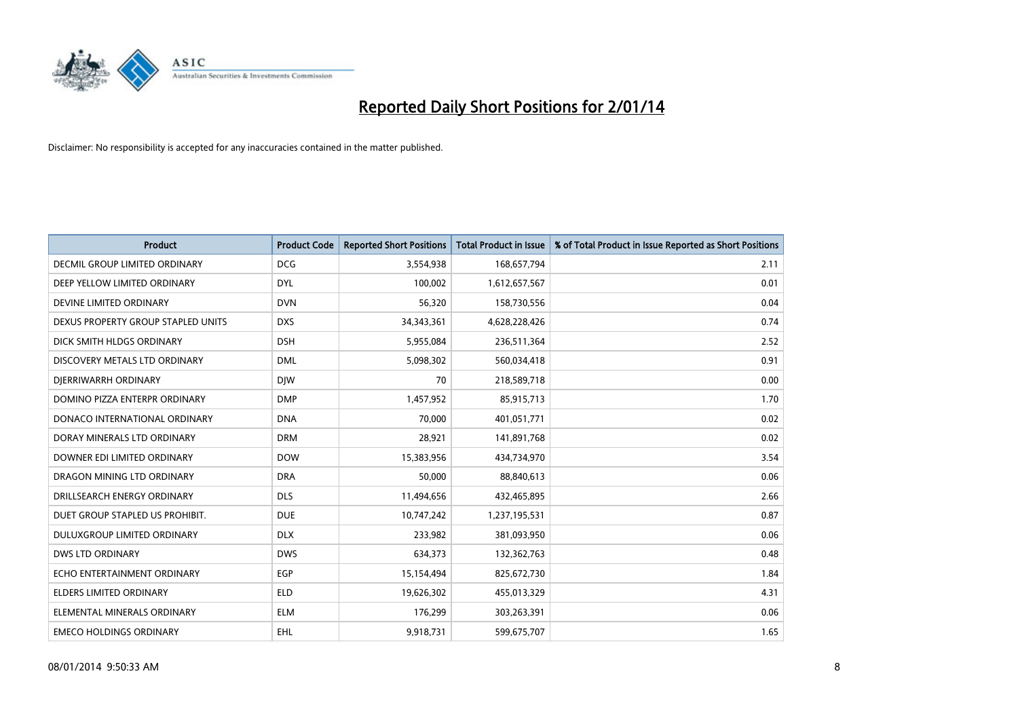

| <b>Product</b>                     | <b>Product Code</b> | <b>Reported Short Positions</b> | <b>Total Product in Issue</b> | % of Total Product in Issue Reported as Short Positions |
|------------------------------------|---------------------|---------------------------------|-------------------------------|---------------------------------------------------------|
| DECMIL GROUP LIMITED ORDINARY      | <b>DCG</b>          | 3,554,938                       | 168,657,794                   | 2.11                                                    |
| DEEP YELLOW LIMITED ORDINARY       | <b>DYL</b>          | 100,002                         | 1,612,657,567                 | 0.01                                                    |
| DEVINE LIMITED ORDINARY            | <b>DVN</b>          | 56,320                          | 158,730,556                   | 0.04                                                    |
| DEXUS PROPERTY GROUP STAPLED UNITS | <b>DXS</b>          | 34, 343, 361                    | 4,628,228,426                 | 0.74                                                    |
| DICK SMITH HLDGS ORDINARY          | <b>DSH</b>          | 5,955,084                       | 236,511,364                   | 2.52                                                    |
| DISCOVERY METALS LTD ORDINARY      | <b>DML</b>          | 5,098,302                       | 560,034,418                   | 0.91                                                    |
| DIERRIWARRH ORDINARY               | <b>DIW</b>          | 70                              | 218,589,718                   | 0.00                                                    |
| DOMINO PIZZA ENTERPR ORDINARY      | <b>DMP</b>          | 1,457,952                       | 85,915,713                    | 1.70                                                    |
| DONACO INTERNATIONAL ORDINARY      | <b>DNA</b>          | 70.000                          | 401,051,771                   | 0.02                                                    |
| DORAY MINERALS LTD ORDINARY        | <b>DRM</b>          | 28,921                          | 141,891,768                   | 0.02                                                    |
| DOWNER EDI LIMITED ORDINARY        | <b>DOW</b>          | 15,383,956                      | 434,734,970                   | 3.54                                                    |
| DRAGON MINING LTD ORDINARY         | <b>DRA</b>          | 50,000                          | 88,840,613                    | 0.06                                                    |
| DRILLSEARCH ENERGY ORDINARY        | <b>DLS</b>          | 11,494,656                      | 432,465,895                   | 2.66                                                    |
| DUET GROUP STAPLED US PROHIBIT.    | <b>DUE</b>          | 10,747,242                      | 1,237,195,531                 | 0.87                                                    |
| DULUXGROUP LIMITED ORDINARY        | <b>DLX</b>          | 233,982                         | 381,093,950                   | 0.06                                                    |
| DWS LTD ORDINARY                   | <b>DWS</b>          | 634,373                         | 132,362,763                   | 0.48                                                    |
| ECHO ENTERTAINMENT ORDINARY        | <b>EGP</b>          | 15,154,494                      | 825,672,730                   | 1.84                                                    |
| <b>ELDERS LIMITED ORDINARY</b>     | <b>ELD</b>          | 19,626,302                      | 455,013,329                   | 4.31                                                    |
| ELEMENTAL MINERALS ORDINARY        | <b>ELM</b>          | 176,299                         | 303,263,391                   | 0.06                                                    |
| <b>EMECO HOLDINGS ORDINARY</b>     | <b>EHL</b>          | 9,918,731                       | 599,675,707                   | 1.65                                                    |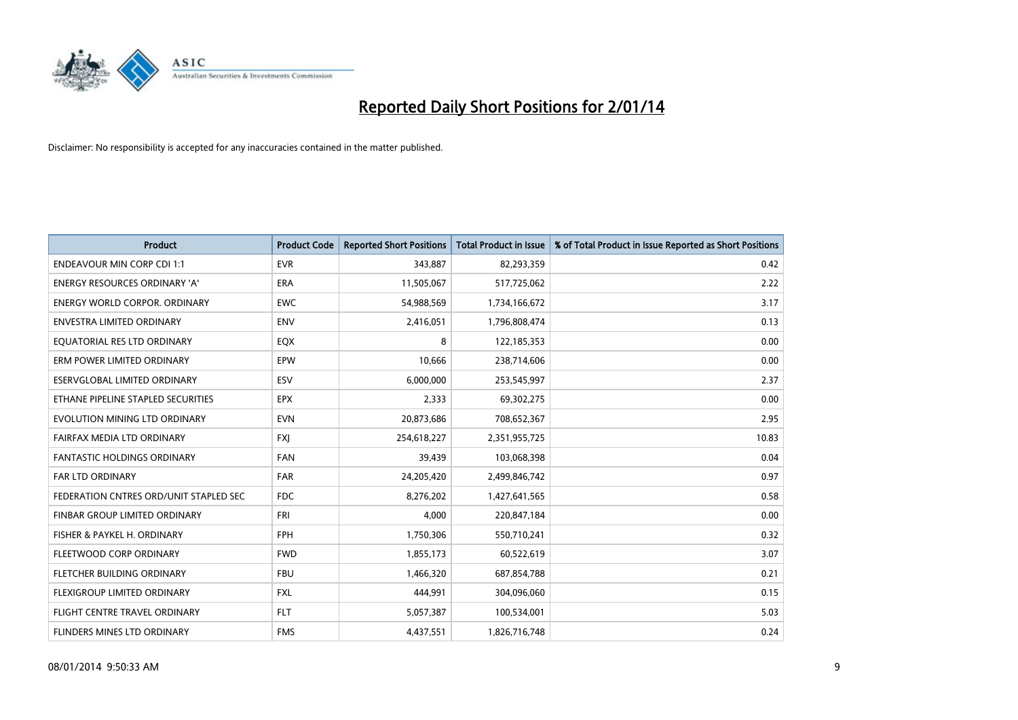

| <b>Product</b>                         | <b>Product Code</b> | <b>Reported Short Positions</b> | <b>Total Product in Issue</b> | % of Total Product in Issue Reported as Short Positions |
|----------------------------------------|---------------------|---------------------------------|-------------------------------|---------------------------------------------------------|
| <b>ENDEAVOUR MIN CORP CDI 1:1</b>      | <b>EVR</b>          | 343,887                         | 82,293,359                    | 0.42                                                    |
| ENERGY RESOURCES ORDINARY 'A'          | ERA                 | 11,505,067                      | 517,725,062                   | 2.22                                                    |
| <b>ENERGY WORLD CORPOR, ORDINARY</b>   | <b>EWC</b>          | 54,988,569                      | 1,734,166,672                 | 3.17                                                    |
| ENVESTRA LIMITED ORDINARY              | <b>ENV</b>          | 2,416,051                       | 1,796,808,474                 | 0.13                                                    |
| EQUATORIAL RES LTD ORDINARY            | EQX                 | 8                               | 122,185,353                   | 0.00                                                    |
| ERM POWER LIMITED ORDINARY             | EPW                 | 10,666                          | 238,714,606                   | 0.00                                                    |
| ESERVGLOBAL LIMITED ORDINARY           | <b>ESV</b>          | 6,000,000                       | 253,545,997                   | 2.37                                                    |
| ETHANE PIPELINE STAPLED SECURITIES     | <b>EPX</b>          | 2,333                           | 69,302,275                    | 0.00                                                    |
| EVOLUTION MINING LTD ORDINARY          | <b>EVN</b>          | 20,873,686                      | 708,652,367                   | 2.95                                                    |
| FAIRFAX MEDIA LTD ORDINARY             | <b>FXI</b>          | 254,618,227                     | 2,351,955,725                 | 10.83                                                   |
| FANTASTIC HOLDINGS ORDINARY            | FAN                 | 39,439                          | 103,068,398                   | 0.04                                                    |
| <b>FAR LTD ORDINARY</b>                | <b>FAR</b>          | 24,205,420                      | 2,499,846,742                 | 0.97                                                    |
| FEDERATION CNTRES ORD/UNIT STAPLED SEC | <b>FDC</b>          | 8,276,202                       | 1,427,641,565                 | 0.58                                                    |
| FINBAR GROUP LIMITED ORDINARY          | <b>FRI</b>          | 4,000                           | 220,847,184                   | 0.00                                                    |
| FISHER & PAYKEL H. ORDINARY            | <b>FPH</b>          | 1,750,306                       | 550,710,241                   | 0.32                                                    |
| FLEETWOOD CORP ORDINARY                | <b>FWD</b>          | 1,855,173                       | 60,522,619                    | 3.07                                                    |
| FLETCHER BUILDING ORDINARY             | <b>FBU</b>          | 1,466,320                       | 687,854,788                   | 0.21                                                    |
| FLEXIGROUP LIMITED ORDINARY            | <b>FXL</b>          | 444,991                         | 304,096,060                   | 0.15                                                    |
| FLIGHT CENTRE TRAVEL ORDINARY          | <b>FLT</b>          | 5,057,387                       | 100,534,001                   | 5.03                                                    |
| FLINDERS MINES LTD ORDINARY            | <b>FMS</b>          | 4,437,551                       | 1,826,716,748                 | 0.24                                                    |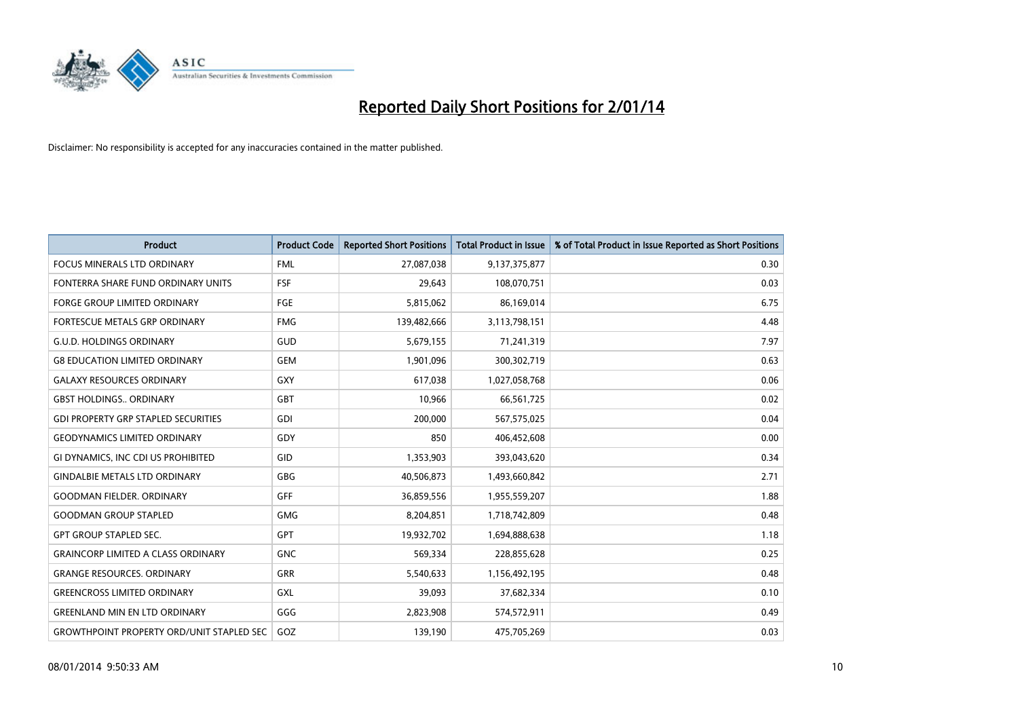

| <b>Product</b>                                   | <b>Product Code</b> | <b>Reported Short Positions</b> | <b>Total Product in Issue</b> | % of Total Product in Issue Reported as Short Positions |
|--------------------------------------------------|---------------------|---------------------------------|-------------------------------|---------------------------------------------------------|
| <b>FOCUS MINERALS LTD ORDINARY</b>               | <b>FML</b>          | 27,087,038                      | 9,137,375,877                 | 0.30                                                    |
| FONTERRA SHARE FUND ORDINARY UNITS               | <b>FSF</b>          | 29,643                          | 108,070,751                   | 0.03                                                    |
| <b>FORGE GROUP LIMITED ORDINARY</b>              | <b>FGE</b>          | 5,815,062                       | 86,169,014                    | 6.75                                                    |
| FORTESCUE METALS GRP ORDINARY                    | <b>FMG</b>          | 139,482,666                     | 3,113,798,151                 | 4.48                                                    |
| <b>G.U.D. HOLDINGS ORDINARY</b>                  | GUD                 | 5,679,155                       | 71,241,319                    | 7.97                                                    |
| <b>G8 EDUCATION LIMITED ORDINARY</b>             | <b>GEM</b>          | 1,901,096                       | 300,302,719                   | 0.63                                                    |
| <b>GALAXY RESOURCES ORDINARY</b>                 | <b>GXY</b>          | 617,038                         | 1,027,058,768                 | 0.06                                                    |
| <b>GBST HOLDINGS., ORDINARY</b>                  | GBT                 | 10,966                          | 66,561,725                    | 0.02                                                    |
| <b>GDI PROPERTY GRP STAPLED SECURITIES</b>       | GDI                 | 200,000                         | 567,575,025                   | 0.04                                                    |
| <b>GEODYNAMICS LIMITED ORDINARY</b>              | GDY                 | 850                             | 406,452,608                   | 0.00                                                    |
| GI DYNAMICS, INC CDI US PROHIBITED               | GID                 | 1,353,903                       | 393,043,620                   | 0.34                                                    |
| <b>GINDALBIE METALS LTD ORDINARY</b>             | GBG                 | 40,506,873                      | 1,493,660,842                 | 2.71                                                    |
| <b>GOODMAN FIELDER. ORDINARY</b>                 | GFF                 | 36,859,556                      | 1,955,559,207                 | 1.88                                                    |
| <b>GOODMAN GROUP STAPLED</b>                     | <b>GMG</b>          | 8,204,851                       | 1,718,742,809                 | 0.48                                                    |
| <b>GPT GROUP STAPLED SEC.</b>                    | <b>GPT</b>          | 19,932,702                      | 1,694,888,638                 | 1.18                                                    |
| <b>GRAINCORP LIMITED A CLASS ORDINARY</b>        | <b>GNC</b>          | 569,334                         | 228,855,628                   | 0.25                                                    |
| <b>GRANGE RESOURCES, ORDINARY</b>                | <b>GRR</b>          | 5,540,633                       | 1,156,492,195                 | 0.48                                                    |
| <b>GREENCROSS LIMITED ORDINARY</b>               | <b>GXL</b>          | 39,093                          | 37,682,334                    | 0.10                                                    |
| <b>GREENLAND MIN EN LTD ORDINARY</b>             | GGG                 | 2,823,908                       | 574,572,911                   | 0.49                                                    |
| <b>GROWTHPOINT PROPERTY ORD/UNIT STAPLED SEC</b> | GOZ                 | 139,190                         | 475,705,269                   | 0.03                                                    |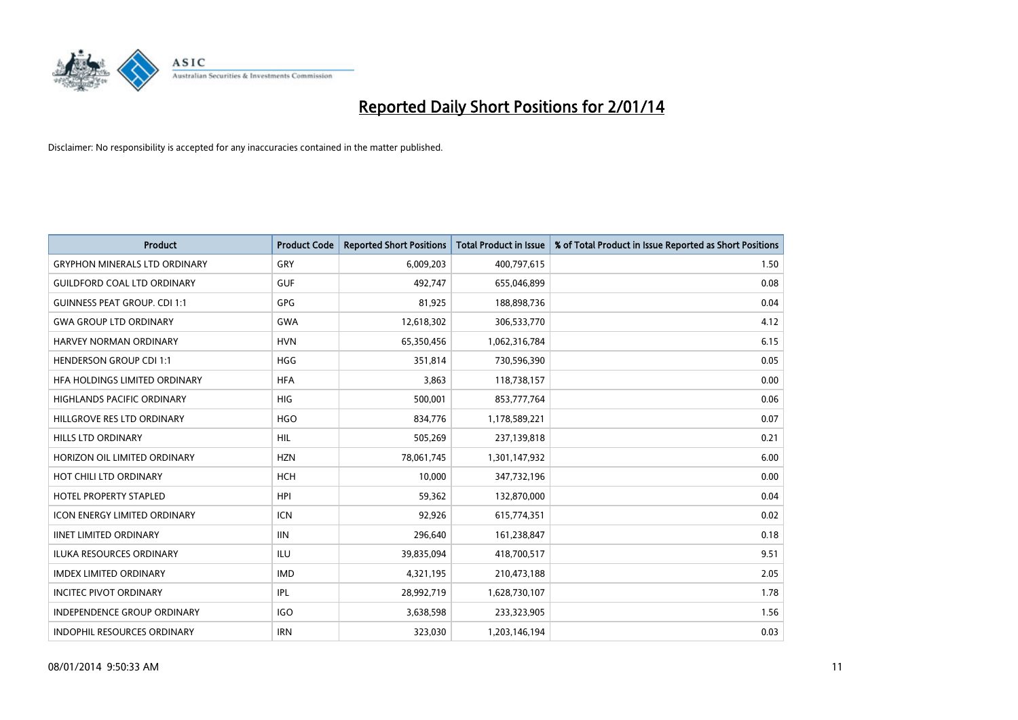

| <b>Product</b>                       | <b>Product Code</b> | <b>Reported Short Positions</b> | <b>Total Product in Issue</b> | % of Total Product in Issue Reported as Short Positions |
|--------------------------------------|---------------------|---------------------------------|-------------------------------|---------------------------------------------------------|
| <b>GRYPHON MINERALS LTD ORDINARY</b> | GRY                 | 6,009,203                       | 400,797,615                   | 1.50                                                    |
| <b>GUILDFORD COAL LTD ORDINARY</b>   | <b>GUF</b>          | 492,747                         | 655,046,899                   | 0.08                                                    |
| <b>GUINNESS PEAT GROUP. CDI 1:1</b>  | GPG                 | 81,925                          | 188,898,736                   | 0.04                                                    |
| <b>GWA GROUP LTD ORDINARY</b>        | <b>GWA</b>          | 12,618,302                      | 306,533,770                   | 4.12                                                    |
| HARVEY NORMAN ORDINARY               | <b>HVN</b>          | 65,350,456                      | 1,062,316,784                 | 6.15                                                    |
| <b>HENDERSON GROUP CDI 1:1</b>       | <b>HGG</b>          | 351,814                         | 730,596,390                   | 0.05                                                    |
| <b>HFA HOLDINGS LIMITED ORDINARY</b> | <b>HFA</b>          | 3,863                           | 118,738,157                   | 0.00                                                    |
| HIGHLANDS PACIFIC ORDINARY           | <b>HIG</b>          | 500,001                         | 853,777,764                   | 0.06                                                    |
| HILLGROVE RES LTD ORDINARY           | <b>HGO</b>          | 834,776                         | 1,178,589,221                 | 0.07                                                    |
| HILLS LTD ORDINARY                   | <b>HIL</b>          | 505,269                         | 237,139,818                   | 0.21                                                    |
| HORIZON OIL LIMITED ORDINARY         | <b>HZN</b>          | 78,061,745                      | 1,301,147,932                 | 6.00                                                    |
| HOT CHILI LTD ORDINARY               | <b>HCH</b>          | 10,000                          | 347,732,196                   | 0.00                                                    |
| <b>HOTEL PROPERTY STAPLED</b>        | <b>HPI</b>          | 59,362                          | 132,870,000                   | 0.04                                                    |
| <b>ICON ENERGY LIMITED ORDINARY</b>  | <b>ICN</b>          | 92,926                          | 615,774,351                   | 0.02                                                    |
| <b>IINET LIMITED ORDINARY</b>        | <b>IIN</b>          | 296,640                         | 161,238,847                   | 0.18                                                    |
| ILUKA RESOURCES ORDINARY             | ILU                 | 39,835,094                      | 418,700,517                   | 9.51                                                    |
| <b>IMDEX LIMITED ORDINARY</b>        | <b>IMD</b>          | 4,321,195                       | 210,473,188                   | 2.05                                                    |
| <b>INCITEC PIVOT ORDINARY</b>        | IPL                 | 28,992,719                      | 1,628,730,107                 | 1.78                                                    |
| <b>INDEPENDENCE GROUP ORDINARY</b>   | <b>IGO</b>          | 3,638,598                       | 233,323,905                   | 1.56                                                    |
| INDOPHIL RESOURCES ORDINARY          | <b>IRN</b>          | 323,030                         | 1,203,146,194                 | 0.03                                                    |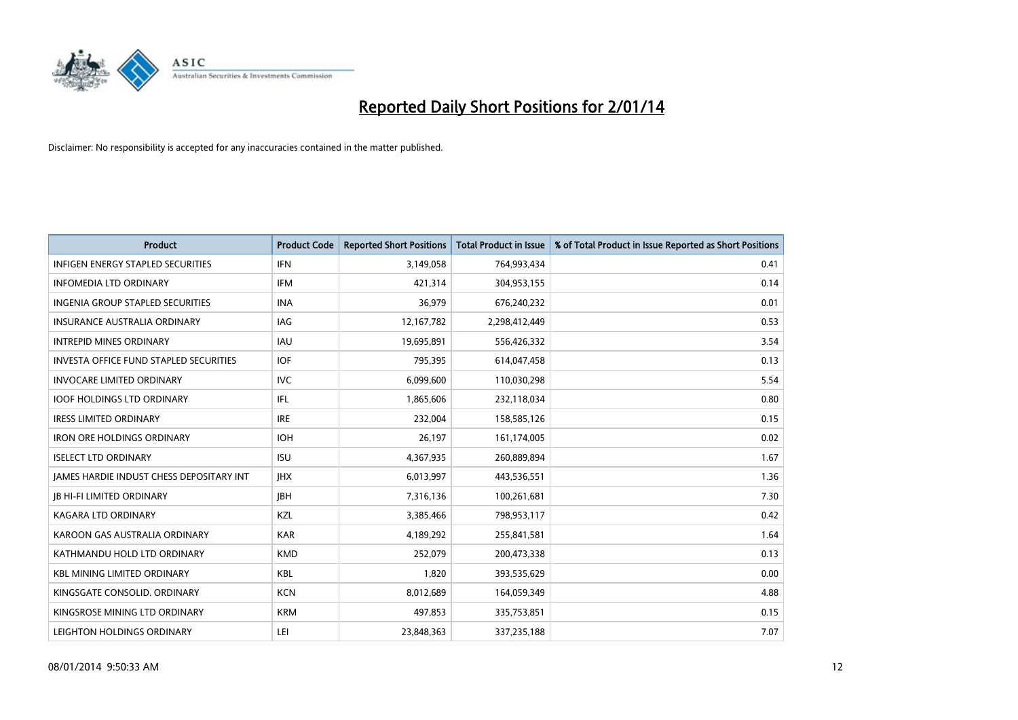

| <b>Product</b>                                  | <b>Product Code</b> | <b>Reported Short Positions</b> | <b>Total Product in Issue</b> | % of Total Product in Issue Reported as Short Positions |
|-------------------------------------------------|---------------------|---------------------------------|-------------------------------|---------------------------------------------------------|
| <b>INFIGEN ENERGY STAPLED SECURITIES</b>        | <b>IFN</b>          | 3,149,058                       | 764,993,434                   | 0.41                                                    |
| <b>INFOMEDIA LTD ORDINARY</b>                   | <b>IFM</b>          | 421,314                         | 304,953,155                   | 0.14                                                    |
| <b>INGENIA GROUP STAPLED SECURITIES</b>         | <b>INA</b>          | 36,979                          | 676,240,232                   | 0.01                                                    |
| <b>INSURANCE AUSTRALIA ORDINARY</b>             | IAG                 | 12,167,782                      | 2,298,412,449                 | 0.53                                                    |
| <b>INTREPID MINES ORDINARY</b>                  | <b>IAU</b>          | 19,695,891                      | 556,426,332                   | 3.54                                                    |
| <b>INVESTA OFFICE FUND STAPLED SECURITIES</b>   | <b>IOF</b>          | 795,395                         | 614,047,458                   | 0.13                                                    |
| <b>INVOCARE LIMITED ORDINARY</b>                | IVC.                | 6,099,600                       | 110,030,298                   | 5.54                                                    |
| <b>IOOF HOLDINGS LTD ORDINARY</b>               | IFL                 | 1,865,606                       | 232,118,034                   | 0.80                                                    |
| <b>IRESS LIMITED ORDINARY</b>                   | <b>IRE</b>          | 232,004                         | 158,585,126                   | 0.15                                                    |
| <b>IRON ORE HOLDINGS ORDINARY</b>               | <b>IOH</b>          | 26,197                          | 161,174,005                   | 0.02                                                    |
| <b>ISELECT LTD ORDINARY</b>                     | <b>ISU</b>          | 4,367,935                       | 260,889,894                   | 1.67                                                    |
| <b>JAMES HARDIE INDUST CHESS DEPOSITARY INT</b> | <b>IHX</b>          | 6,013,997                       | 443,536,551                   | 1.36                                                    |
| <b>JB HI-FI LIMITED ORDINARY</b>                | <b>JBH</b>          | 7,316,136                       | 100,261,681                   | 7.30                                                    |
| <b>KAGARA LTD ORDINARY</b>                      | KZL                 | 3,385,466                       | 798,953,117                   | 0.42                                                    |
| KAROON GAS AUSTRALIA ORDINARY                   | <b>KAR</b>          | 4,189,292                       | 255,841,581                   | 1.64                                                    |
| KATHMANDU HOLD LTD ORDINARY                     | <b>KMD</b>          | 252,079                         | 200,473,338                   | 0.13                                                    |
| <b>KBL MINING LIMITED ORDINARY</b>              | KBL                 | 1,820                           | 393,535,629                   | 0.00                                                    |
| KINGSGATE CONSOLID. ORDINARY                    | <b>KCN</b>          | 8,012,689                       | 164,059,349                   | 4.88                                                    |
| KINGSROSE MINING LTD ORDINARY                   | <b>KRM</b>          | 497,853                         | 335,753,851                   | 0.15                                                    |
| LEIGHTON HOLDINGS ORDINARY                      | LEI                 | 23,848,363                      | 337,235,188                   | 7.07                                                    |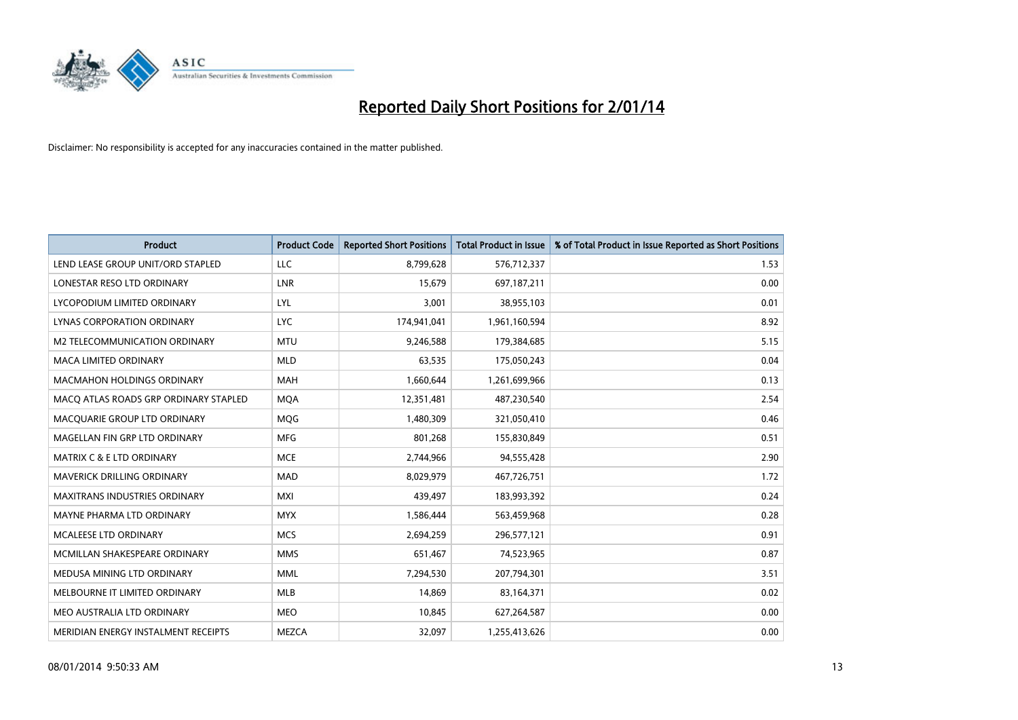

| <b>Product</b>                        | <b>Product Code</b> | <b>Reported Short Positions</b> | <b>Total Product in Issue</b> | % of Total Product in Issue Reported as Short Positions |
|---------------------------------------|---------------------|---------------------------------|-------------------------------|---------------------------------------------------------|
| LEND LEASE GROUP UNIT/ORD STAPLED     | <b>LLC</b>          | 8,799,628                       | 576,712,337                   | 1.53                                                    |
| LONESTAR RESO LTD ORDINARY            | LNR                 | 15,679                          | 697,187,211                   | 0.00                                                    |
| LYCOPODIUM LIMITED ORDINARY           | <b>LYL</b>          | 3,001                           | 38,955,103                    | 0.01                                                    |
| LYNAS CORPORATION ORDINARY            | <b>LYC</b>          | 174,941,041                     | 1,961,160,594                 | 8.92                                                    |
| <b>M2 TELECOMMUNICATION ORDINARY</b>  | <b>MTU</b>          | 9,246,588                       | 179,384,685                   | 5.15                                                    |
| <b>MACA LIMITED ORDINARY</b>          | <b>MLD</b>          | 63,535                          | 175,050,243                   | 0.04                                                    |
| <b>MACMAHON HOLDINGS ORDINARY</b>     | <b>MAH</b>          | 1,660,644                       | 1,261,699,966                 | 0.13                                                    |
| MACO ATLAS ROADS GRP ORDINARY STAPLED | <b>MQA</b>          | 12,351,481                      | 487,230,540                   | 2.54                                                    |
| MACQUARIE GROUP LTD ORDINARY          | <b>MOG</b>          | 1,480,309                       | 321,050,410                   | 0.46                                                    |
| MAGELLAN FIN GRP LTD ORDINARY         | <b>MFG</b>          | 801,268                         | 155,830,849                   | 0.51                                                    |
| <b>MATRIX C &amp; E LTD ORDINARY</b>  | <b>MCE</b>          | 2,744,966                       | 94,555,428                    | 2.90                                                    |
| <b>MAVERICK DRILLING ORDINARY</b>     | <b>MAD</b>          | 8,029,979                       | 467,726,751                   | 1.72                                                    |
| <b>MAXITRANS INDUSTRIES ORDINARY</b>  | <b>MXI</b>          | 439,497                         | 183,993,392                   | 0.24                                                    |
| MAYNE PHARMA LTD ORDINARY             | <b>MYX</b>          | 1,586,444                       | 563,459,968                   | 0.28                                                    |
| MCALEESE LTD ORDINARY                 | <b>MCS</b>          | 2,694,259                       | 296,577,121                   | 0.91                                                    |
| MCMILLAN SHAKESPEARE ORDINARY         | <b>MMS</b>          | 651,467                         | 74,523,965                    | 0.87                                                    |
| MEDUSA MINING LTD ORDINARY            | <b>MML</b>          | 7,294,530                       | 207,794,301                   | 3.51                                                    |
| MELBOURNE IT LIMITED ORDINARY         | <b>MLB</b>          | 14,869                          | 83,164,371                    | 0.02                                                    |
| MEO AUSTRALIA LTD ORDINARY            | <b>MEO</b>          | 10,845                          | 627,264,587                   | 0.00                                                    |
| MERIDIAN ENERGY INSTALMENT RECEIPTS   | <b>MEZCA</b>        | 32.097                          | 1,255,413,626                 | 0.00                                                    |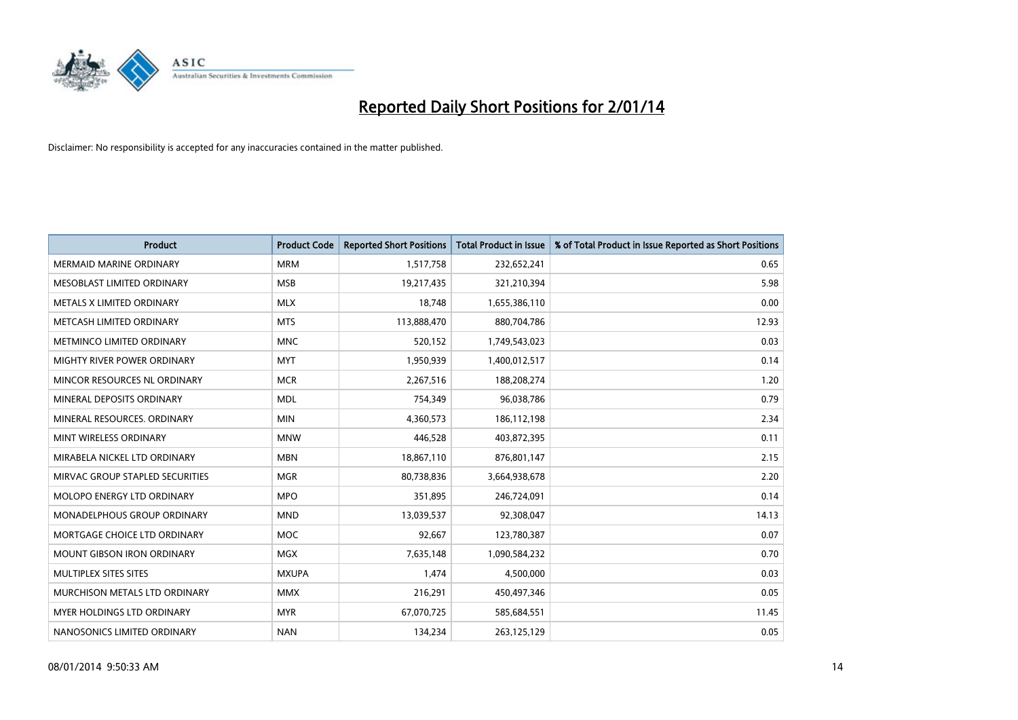

| <b>Product</b>                     | <b>Product Code</b> | <b>Reported Short Positions</b> | <b>Total Product in Issue</b> | % of Total Product in Issue Reported as Short Positions |
|------------------------------------|---------------------|---------------------------------|-------------------------------|---------------------------------------------------------|
| <b>MERMAID MARINE ORDINARY</b>     | <b>MRM</b>          | 1,517,758                       | 232,652,241                   | 0.65                                                    |
| MESOBLAST LIMITED ORDINARY         | <b>MSB</b>          | 19,217,435                      | 321,210,394                   | 5.98                                                    |
| METALS X LIMITED ORDINARY          | <b>MLX</b>          | 18,748                          | 1,655,386,110                 | 0.00                                                    |
| METCASH LIMITED ORDINARY           | <b>MTS</b>          | 113,888,470                     | 880,704,786                   | 12.93                                                   |
| METMINCO LIMITED ORDINARY          | <b>MNC</b>          | 520,152                         | 1,749,543,023                 | 0.03                                                    |
| MIGHTY RIVER POWER ORDINARY        | <b>MYT</b>          | 1,950,939                       | 1,400,012,517                 | 0.14                                                    |
| MINCOR RESOURCES NL ORDINARY       | <b>MCR</b>          | 2,267,516                       | 188,208,274                   | 1.20                                                    |
| MINERAL DEPOSITS ORDINARY          | <b>MDL</b>          | 754,349                         | 96,038,786                    | 0.79                                                    |
| MINERAL RESOURCES, ORDINARY        | <b>MIN</b>          | 4,360,573                       | 186,112,198                   | 2.34                                                    |
| MINT WIRELESS ORDINARY             | <b>MNW</b>          | 446,528                         | 403,872,395                   | 0.11                                                    |
| MIRABELA NICKEL LTD ORDINARY       | <b>MBN</b>          | 18,867,110                      | 876,801,147                   | 2.15                                                    |
| MIRVAC GROUP STAPLED SECURITIES    | <b>MGR</b>          | 80,738,836                      | 3,664,938,678                 | 2.20                                                    |
| <b>MOLOPO ENERGY LTD ORDINARY</b>  | <b>MPO</b>          | 351,895                         | 246,724,091                   | 0.14                                                    |
| <b>MONADELPHOUS GROUP ORDINARY</b> | <b>MND</b>          | 13,039,537                      | 92,308,047                    | 14.13                                                   |
| MORTGAGE CHOICE LTD ORDINARY       | MOC                 | 92,667                          | 123,780,387                   | 0.07                                                    |
| <b>MOUNT GIBSON IRON ORDINARY</b>  | <b>MGX</b>          | 7,635,148                       | 1,090,584,232                 | 0.70                                                    |
| MULTIPLEX SITES SITES              | <b>MXUPA</b>        | 1,474                           | 4,500,000                     | 0.03                                                    |
| MURCHISON METALS LTD ORDINARY      | <b>MMX</b>          | 216,291                         | 450,497,346                   | 0.05                                                    |
| <b>MYER HOLDINGS LTD ORDINARY</b>  | <b>MYR</b>          | 67,070,725                      | 585,684,551                   | 11.45                                                   |
| NANOSONICS LIMITED ORDINARY        | <b>NAN</b>          | 134,234                         | 263,125,129                   | 0.05                                                    |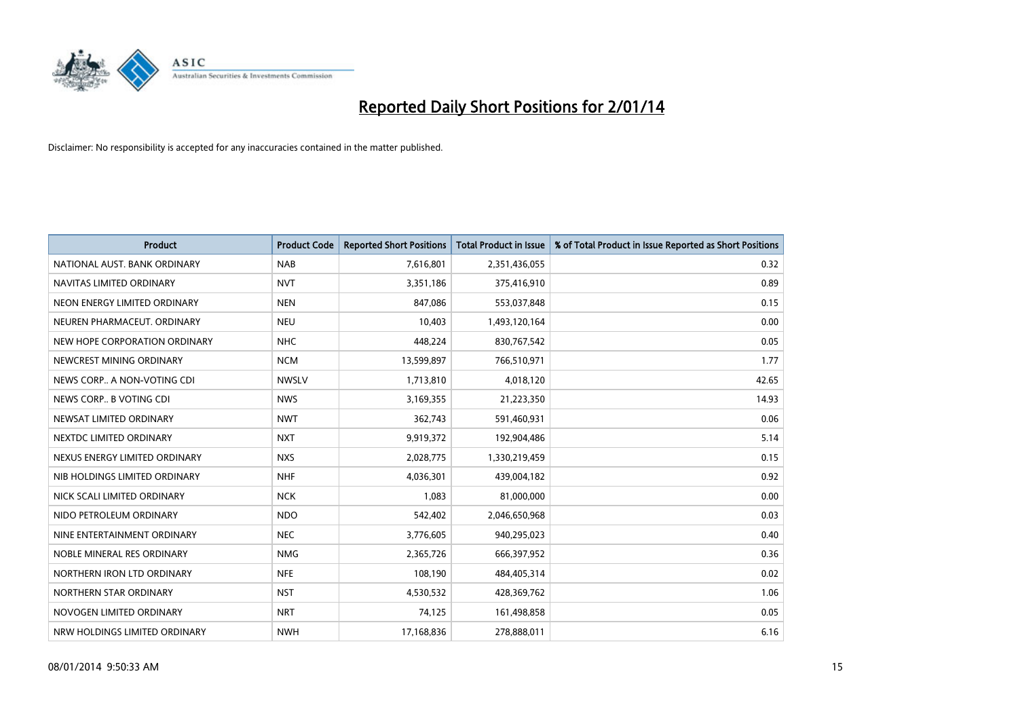

| <b>Product</b>                | <b>Product Code</b> | <b>Reported Short Positions</b> | <b>Total Product in Issue</b> | % of Total Product in Issue Reported as Short Positions |
|-------------------------------|---------------------|---------------------------------|-------------------------------|---------------------------------------------------------|
| NATIONAL AUST. BANK ORDINARY  | <b>NAB</b>          | 7,616,801                       | 2,351,436,055                 | 0.32                                                    |
| NAVITAS LIMITED ORDINARY      | <b>NVT</b>          | 3,351,186                       | 375,416,910                   | 0.89                                                    |
| NEON ENERGY LIMITED ORDINARY  | <b>NEN</b>          | 847,086                         | 553,037,848                   | 0.15                                                    |
| NEUREN PHARMACEUT, ORDINARY   | <b>NEU</b>          | 10,403                          | 1,493,120,164                 | 0.00                                                    |
| NEW HOPE CORPORATION ORDINARY | <b>NHC</b>          | 448,224                         | 830,767,542                   | 0.05                                                    |
| NEWCREST MINING ORDINARY      | <b>NCM</b>          | 13,599,897                      | 766,510,971                   | 1.77                                                    |
| NEWS CORP A NON-VOTING CDI    | <b>NWSLV</b>        | 1,713,810                       | 4,018,120                     | 42.65                                                   |
| NEWS CORP B VOTING CDI        | <b>NWS</b>          | 3,169,355                       | 21,223,350                    | 14.93                                                   |
| NEWSAT LIMITED ORDINARY       | <b>NWT</b>          | 362,743                         | 591,460,931                   | 0.06                                                    |
| NEXTDC LIMITED ORDINARY       | <b>NXT</b>          | 9,919,372                       | 192,904,486                   | 5.14                                                    |
| NEXUS ENERGY LIMITED ORDINARY | <b>NXS</b>          | 2,028,775                       | 1,330,219,459                 | 0.15                                                    |
| NIB HOLDINGS LIMITED ORDINARY | <b>NHF</b>          | 4,036,301                       | 439,004,182                   | 0.92                                                    |
| NICK SCALI LIMITED ORDINARY   | <b>NCK</b>          | 1,083                           | 81,000,000                    | 0.00                                                    |
| NIDO PETROLEUM ORDINARY       | <b>NDO</b>          | 542,402                         | 2,046,650,968                 | 0.03                                                    |
| NINE ENTERTAINMENT ORDINARY   | <b>NEC</b>          | 3,776,605                       | 940,295,023                   | 0.40                                                    |
| NOBLE MINERAL RES ORDINARY    | <b>NMG</b>          | 2,365,726                       | 666,397,952                   | 0.36                                                    |
| NORTHERN IRON LTD ORDINARY    | <b>NFE</b>          | 108,190                         | 484,405,314                   | 0.02                                                    |
| NORTHERN STAR ORDINARY        | <b>NST</b>          | 4,530,532                       | 428,369,762                   | 1.06                                                    |
| NOVOGEN LIMITED ORDINARY      | <b>NRT</b>          | 74,125                          | 161,498,858                   | 0.05                                                    |
| NRW HOLDINGS LIMITED ORDINARY | <b>NWH</b>          | 17,168,836                      | 278,888,011                   | 6.16                                                    |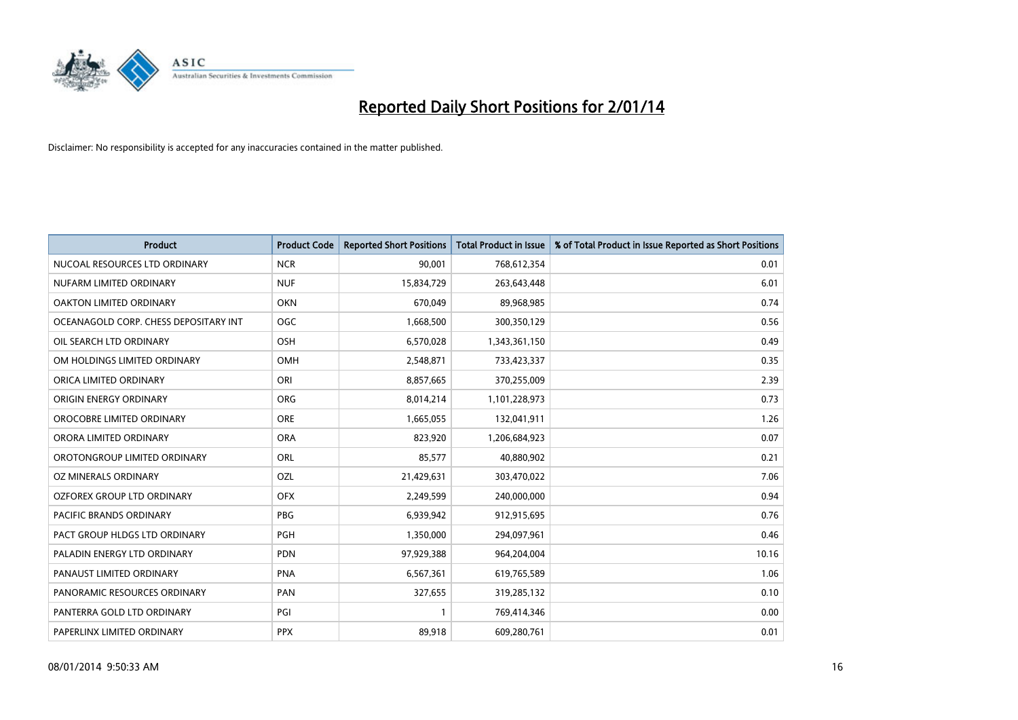

| <b>Product</b>                        | <b>Product Code</b> | <b>Reported Short Positions</b> | <b>Total Product in Issue</b> | % of Total Product in Issue Reported as Short Positions |
|---------------------------------------|---------------------|---------------------------------|-------------------------------|---------------------------------------------------------|
| NUCOAL RESOURCES LTD ORDINARY         | <b>NCR</b>          | 90,001                          | 768,612,354                   | 0.01                                                    |
| NUFARM LIMITED ORDINARY               | <b>NUF</b>          | 15,834,729                      | 263,643,448                   | 6.01                                                    |
| OAKTON LIMITED ORDINARY               | <b>OKN</b>          | 670,049                         | 89,968,985                    | 0.74                                                    |
| OCEANAGOLD CORP. CHESS DEPOSITARY INT | <b>OGC</b>          | 1,668,500                       | 300,350,129                   | 0.56                                                    |
| OIL SEARCH LTD ORDINARY               | OSH                 | 6,570,028                       | 1,343,361,150                 | 0.49                                                    |
| OM HOLDINGS LIMITED ORDINARY          | <b>OMH</b>          | 2,548,871                       | 733,423,337                   | 0.35                                                    |
| ORICA LIMITED ORDINARY                | ORI                 | 8,857,665                       | 370,255,009                   | 2.39                                                    |
| ORIGIN ENERGY ORDINARY                | ORG                 | 8,014,214                       | 1,101,228,973                 | 0.73                                                    |
| OROCOBRE LIMITED ORDINARY             | <b>ORE</b>          | 1,665,055                       | 132,041,911                   | 1.26                                                    |
| ORORA LIMITED ORDINARY                | <b>ORA</b>          | 823,920                         | 1,206,684,923                 | 0.07                                                    |
| OROTONGROUP LIMITED ORDINARY          | ORL                 | 85,577                          | 40,880,902                    | 0.21                                                    |
| OZ MINERALS ORDINARY                  | OZL                 | 21,429,631                      | 303,470,022                   | 7.06                                                    |
| OZFOREX GROUP LTD ORDINARY            | <b>OFX</b>          | 2,249,599                       | 240,000,000                   | 0.94                                                    |
| <b>PACIFIC BRANDS ORDINARY</b>        | <b>PBG</b>          | 6,939,942                       | 912,915,695                   | 0.76                                                    |
| PACT GROUP HLDGS LTD ORDINARY         | PGH                 | 1,350,000                       | 294,097,961                   | 0.46                                                    |
| PALADIN ENERGY LTD ORDINARY           | <b>PDN</b>          | 97,929,388                      | 964,204,004                   | 10.16                                                   |
| PANAUST LIMITED ORDINARY              | <b>PNA</b>          | 6,567,361                       | 619,765,589                   | 1.06                                                    |
| PANORAMIC RESOURCES ORDINARY          | PAN                 | 327,655                         | 319,285,132                   | 0.10                                                    |
| PANTERRA GOLD LTD ORDINARY            | PGI                 | $\mathbf{1}$                    | 769,414,346                   | 0.00                                                    |
| PAPERLINX LIMITED ORDINARY            | <b>PPX</b>          | 89,918                          | 609,280,761                   | 0.01                                                    |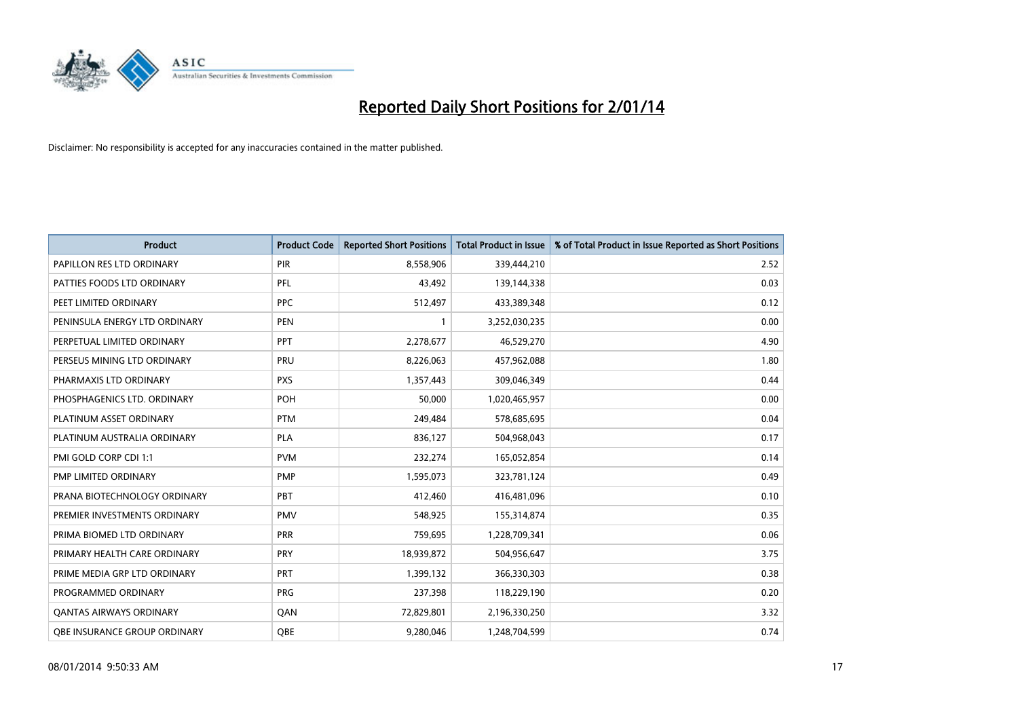

| <b>Product</b>                | <b>Product Code</b> | <b>Reported Short Positions</b> | <b>Total Product in Issue</b> | % of Total Product in Issue Reported as Short Positions |
|-------------------------------|---------------------|---------------------------------|-------------------------------|---------------------------------------------------------|
| PAPILLON RES LTD ORDINARY     | <b>PIR</b>          | 8,558,906                       | 339,444,210                   | 2.52                                                    |
| PATTIES FOODS LTD ORDINARY    | PFL                 | 43,492                          | 139,144,338                   | 0.03                                                    |
| PEET LIMITED ORDINARY         | <b>PPC</b>          | 512,497                         | 433,389,348                   | 0.12                                                    |
| PENINSULA ENERGY LTD ORDINARY | <b>PEN</b>          | $\mathbf{1}$                    | 3,252,030,235                 | 0.00                                                    |
| PERPETUAL LIMITED ORDINARY    | <b>PPT</b>          | 2,278,677                       | 46,529,270                    | 4.90                                                    |
| PERSEUS MINING LTD ORDINARY   | PRU                 | 8,226,063                       | 457,962,088                   | 1.80                                                    |
| PHARMAXIS LTD ORDINARY        | <b>PXS</b>          | 1,357,443                       | 309,046,349                   | 0.44                                                    |
| PHOSPHAGENICS LTD. ORDINARY   | POH                 | 50,000                          | 1,020,465,957                 | 0.00                                                    |
| PLATINUM ASSET ORDINARY       | <b>PTM</b>          | 249,484                         | 578,685,695                   | 0.04                                                    |
| PLATINUM AUSTRALIA ORDINARY   | <b>PLA</b>          | 836,127                         | 504,968,043                   | 0.17                                                    |
| PMI GOLD CORP CDI 1:1         | <b>PVM</b>          | 232,274                         | 165,052,854                   | 0.14                                                    |
| PMP LIMITED ORDINARY          | <b>PMP</b>          | 1,595,073                       | 323,781,124                   | 0.49                                                    |
| PRANA BIOTECHNOLOGY ORDINARY  | PBT                 | 412,460                         | 416,481,096                   | 0.10                                                    |
| PREMIER INVESTMENTS ORDINARY  | <b>PMV</b>          | 548,925                         | 155,314,874                   | 0.35                                                    |
| PRIMA BIOMED LTD ORDINARY     | <b>PRR</b>          | 759,695                         | 1,228,709,341                 | 0.06                                                    |
| PRIMARY HEALTH CARE ORDINARY  | <b>PRY</b>          | 18,939,872                      | 504,956,647                   | 3.75                                                    |
| PRIME MEDIA GRP LTD ORDINARY  | <b>PRT</b>          | 1,399,132                       | 366,330,303                   | 0.38                                                    |
| PROGRAMMED ORDINARY           | <b>PRG</b>          | 237,398                         | 118,229,190                   | 0.20                                                    |
| OANTAS AIRWAYS ORDINARY       | QAN                 | 72,829,801                      | 2,196,330,250                 | 3.32                                                    |
| OBE INSURANCE GROUP ORDINARY  | <b>OBE</b>          | 9,280,046                       | 1,248,704,599                 | 0.74                                                    |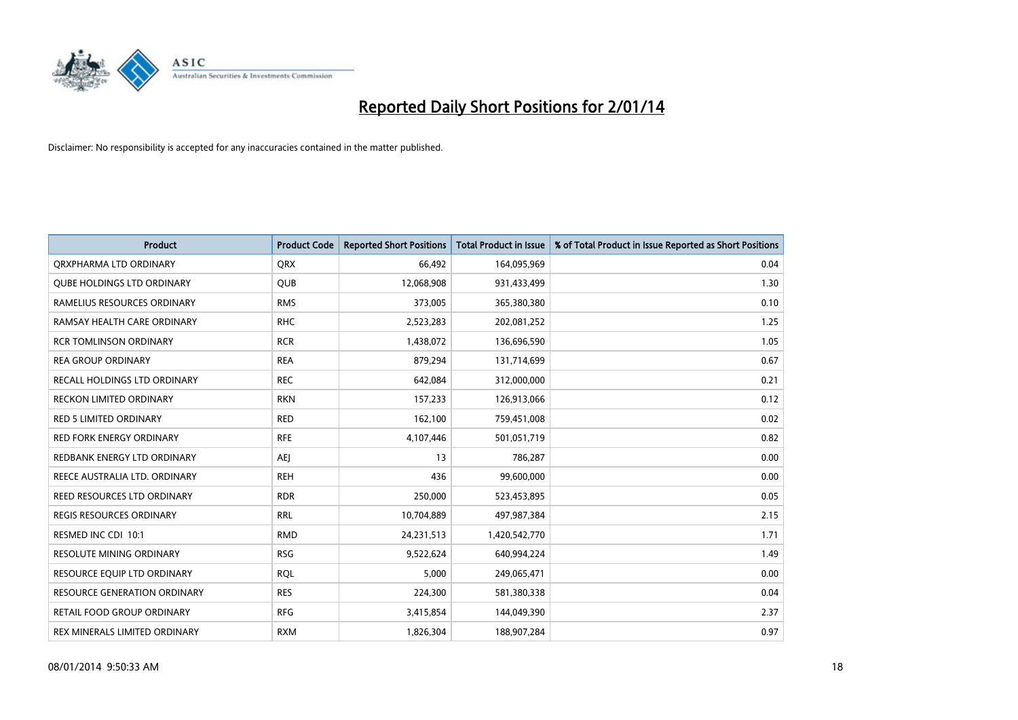

| <b>Product</b>                    | <b>Product Code</b> | <b>Reported Short Positions</b> | <b>Total Product in Issue</b> | % of Total Product in Issue Reported as Short Positions |
|-----------------------------------|---------------------|---------------------------------|-------------------------------|---------------------------------------------------------|
| ORXPHARMA LTD ORDINARY            | <b>QRX</b>          | 66,492                          | 164,095,969                   | 0.04                                                    |
| <b>QUBE HOLDINGS LTD ORDINARY</b> | QUB                 | 12,068,908                      | 931,433,499                   | 1.30                                                    |
| RAMELIUS RESOURCES ORDINARY       | <b>RMS</b>          | 373,005                         | 365,380,380                   | 0.10                                                    |
| RAMSAY HEALTH CARE ORDINARY       | <b>RHC</b>          | 2,523,283                       | 202,081,252                   | 1.25                                                    |
| <b>RCR TOMLINSON ORDINARY</b>     | <b>RCR</b>          | 1,438,072                       | 136,696,590                   | 1.05                                                    |
| <b>REA GROUP ORDINARY</b>         | <b>REA</b>          | 879,294                         | 131,714,699                   | 0.67                                                    |
| RECALL HOLDINGS LTD ORDINARY      | <b>REC</b>          | 642,084                         | 312,000,000                   | 0.21                                                    |
| <b>RECKON LIMITED ORDINARY</b>    | <b>RKN</b>          | 157,233                         | 126,913,066                   | 0.12                                                    |
| RED 5 LIMITED ORDINARY            | <b>RED</b>          | 162,100                         | 759,451,008                   | 0.02                                                    |
| <b>RED FORK ENERGY ORDINARY</b>   | <b>RFE</b>          | 4,107,446                       | 501,051,719                   | 0.82                                                    |
| REDBANK ENERGY LTD ORDINARY       | <b>AEJ</b>          | 13                              | 786,287                       | 0.00                                                    |
| REECE AUSTRALIA LTD. ORDINARY     | <b>REH</b>          | 436                             | 99,600,000                    | 0.00                                                    |
| REED RESOURCES LTD ORDINARY       | <b>RDR</b>          | 250,000                         | 523,453,895                   | 0.05                                                    |
| <b>REGIS RESOURCES ORDINARY</b>   | <b>RRL</b>          | 10,704,889                      | 497,987,384                   | 2.15                                                    |
| RESMED INC CDI 10:1               | <b>RMD</b>          | 24,231,513                      | 1,420,542,770                 | 1.71                                                    |
| RESOLUTE MINING ORDINARY          | <b>RSG</b>          | 9,522,624                       | 640,994,224                   | 1.49                                                    |
| RESOURCE EQUIP LTD ORDINARY       | <b>RQL</b>          | 5,000                           | 249,065,471                   | 0.00                                                    |
| RESOURCE GENERATION ORDINARY      | <b>RES</b>          | 224,300                         | 581,380,338                   | 0.04                                                    |
| <b>RETAIL FOOD GROUP ORDINARY</b> | <b>RFG</b>          | 3,415,854                       | 144,049,390                   | 2.37                                                    |
| REX MINERALS LIMITED ORDINARY     | <b>RXM</b>          | 1,826,304                       | 188,907,284                   | 0.97                                                    |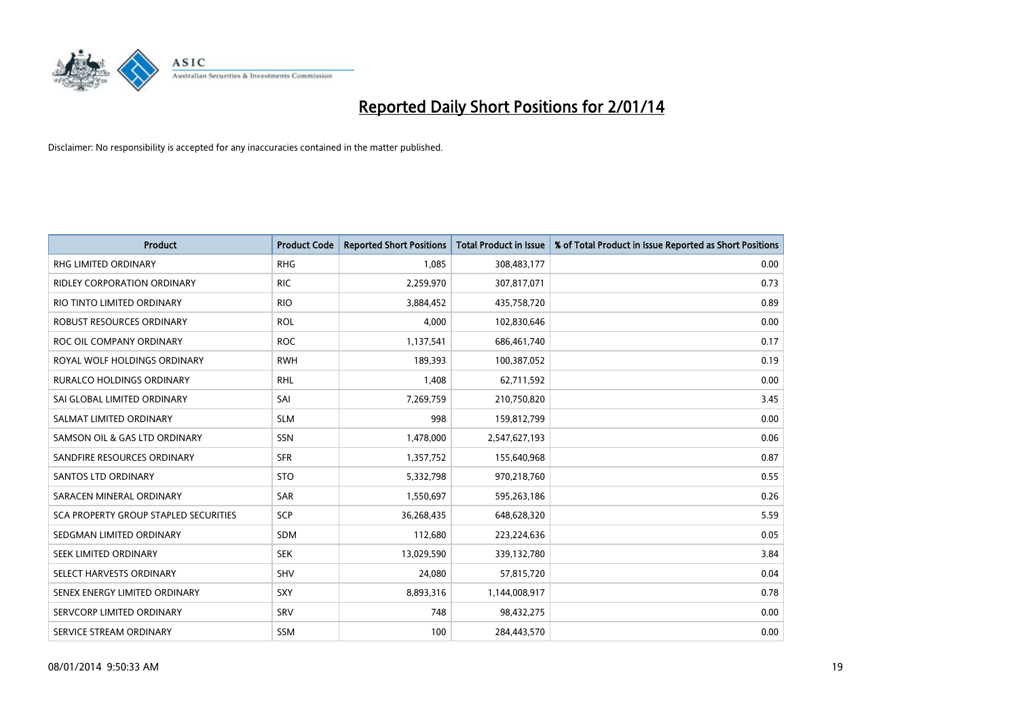

| <b>Product</b>                        | <b>Product Code</b> | <b>Reported Short Positions</b> | <b>Total Product in Issue</b> | % of Total Product in Issue Reported as Short Positions |
|---------------------------------------|---------------------|---------------------------------|-------------------------------|---------------------------------------------------------|
| <b>RHG LIMITED ORDINARY</b>           | <b>RHG</b>          | 1,085                           | 308,483,177                   | 0.00                                                    |
| RIDLEY CORPORATION ORDINARY           | <b>RIC</b>          | 2,259,970                       | 307,817,071                   | 0.73                                                    |
| RIO TINTO LIMITED ORDINARY            | <b>RIO</b>          | 3,884,452                       | 435,758,720                   | 0.89                                                    |
| ROBUST RESOURCES ORDINARY             | <b>ROL</b>          | 4,000                           | 102,830,646                   | 0.00                                                    |
| ROC OIL COMPANY ORDINARY              | <b>ROC</b>          | 1,137,541                       | 686,461,740                   | 0.17                                                    |
| ROYAL WOLF HOLDINGS ORDINARY          | <b>RWH</b>          | 189,393                         | 100,387,052                   | 0.19                                                    |
| <b>RURALCO HOLDINGS ORDINARY</b>      | RHL                 | 1,408                           | 62,711,592                    | 0.00                                                    |
| SAI GLOBAL LIMITED ORDINARY           | SAI                 | 7,269,759                       | 210,750,820                   | 3.45                                                    |
| SALMAT LIMITED ORDINARY               | <b>SLM</b>          | 998                             | 159,812,799                   | 0.00                                                    |
| SAMSON OIL & GAS LTD ORDINARY         | <b>SSN</b>          | 1,478,000                       | 2,547,627,193                 | 0.06                                                    |
| SANDFIRE RESOURCES ORDINARY           | <b>SFR</b>          | 1,357,752                       | 155,640,968                   | 0.87                                                    |
| <b>SANTOS LTD ORDINARY</b>            | <b>STO</b>          | 5,332,798                       | 970,218,760                   | 0.55                                                    |
| SARACEN MINERAL ORDINARY              | SAR                 | 1,550,697                       | 595,263,186                   | 0.26                                                    |
| SCA PROPERTY GROUP STAPLED SECURITIES | SCP                 | 36,268,435                      | 648,628,320                   | 5.59                                                    |
| SEDGMAN LIMITED ORDINARY              | <b>SDM</b>          | 112,680                         | 223,224,636                   | 0.05                                                    |
| SEEK LIMITED ORDINARY                 | <b>SEK</b>          | 13,029,590                      | 339,132,780                   | 3.84                                                    |
| SELECT HARVESTS ORDINARY              | SHV                 | 24,080                          | 57,815,720                    | 0.04                                                    |
| SENEX ENERGY LIMITED ORDINARY         | <b>SXY</b>          | 8,893,316                       | 1,144,008,917                 | 0.78                                                    |
| SERVCORP LIMITED ORDINARY             | SRV                 | 748                             | 98,432,275                    | 0.00                                                    |
| SERVICE STREAM ORDINARY               | SSM                 | 100                             | 284,443,570                   | 0.00                                                    |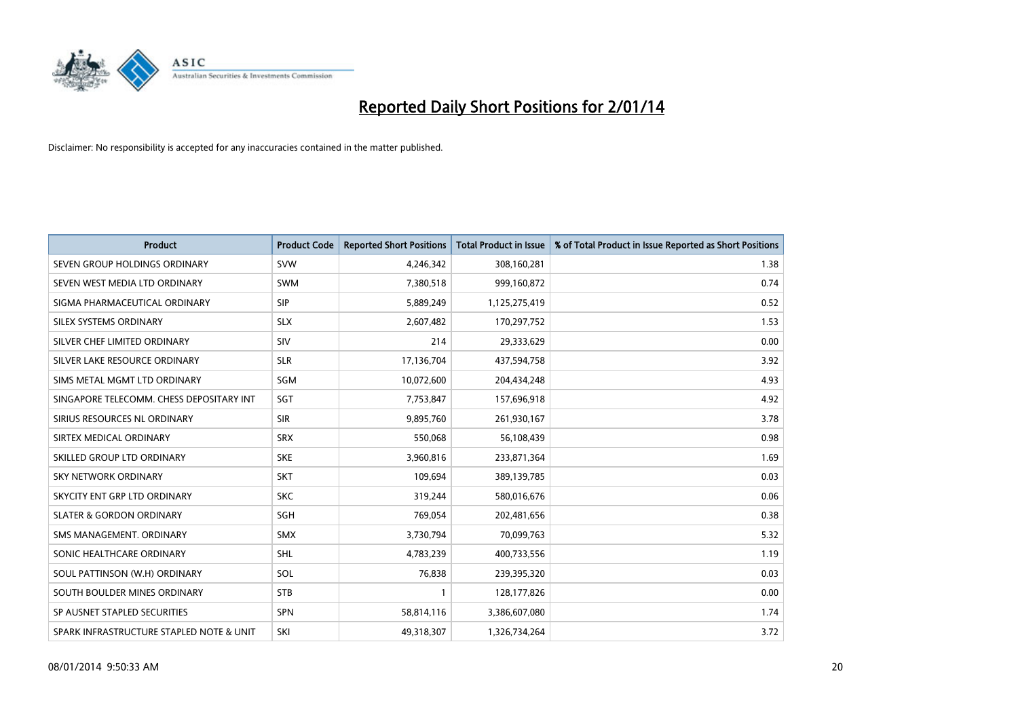

| <b>Product</b>                           | <b>Product Code</b> | <b>Reported Short Positions</b> | <b>Total Product in Issue</b> | % of Total Product in Issue Reported as Short Positions |
|------------------------------------------|---------------------|---------------------------------|-------------------------------|---------------------------------------------------------|
| SEVEN GROUP HOLDINGS ORDINARY            | <b>SVW</b>          | 4,246,342                       | 308,160,281                   | 1.38                                                    |
| SEVEN WEST MEDIA LTD ORDINARY            | <b>SWM</b>          | 7,380,518                       | 999,160,872                   | 0.74                                                    |
| SIGMA PHARMACEUTICAL ORDINARY            | <b>SIP</b>          | 5,889,249                       | 1,125,275,419                 | 0.52                                                    |
| SILEX SYSTEMS ORDINARY                   | <b>SLX</b>          | 2,607,482                       | 170,297,752                   | 1.53                                                    |
| SILVER CHEF LIMITED ORDINARY             | SIV                 | 214                             | 29,333,629                    | 0.00                                                    |
| SILVER LAKE RESOURCE ORDINARY            | <b>SLR</b>          | 17,136,704                      | 437,594,758                   | 3.92                                                    |
| SIMS METAL MGMT LTD ORDINARY             | SGM                 | 10,072,600                      | 204,434,248                   | 4.93                                                    |
| SINGAPORE TELECOMM. CHESS DEPOSITARY INT | SGT                 | 7,753,847                       | 157,696,918                   | 4.92                                                    |
| SIRIUS RESOURCES NL ORDINARY             | <b>SIR</b>          | 9,895,760                       | 261,930,167                   | 3.78                                                    |
| SIRTEX MEDICAL ORDINARY                  | <b>SRX</b>          | 550,068                         | 56,108,439                    | 0.98                                                    |
| SKILLED GROUP LTD ORDINARY               | <b>SKE</b>          | 3,960,816                       | 233,871,364                   | 1.69                                                    |
| <b>SKY NETWORK ORDINARY</b>              | <b>SKT</b>          | 109,694                         | 389,139,785                   | 0.03                                                    |
| SKYCITY ENT GRP LTD ORDINARY             | <b>SKC</b>          | 319,244                         | 580,016,676                   | 0.06                                                    |
| <b>SLATER &amp; GORDON ORDINARY</b>      | SGH                 | 769,054                         | 202,481,656                   | 0.38                                                    |
| SMS MANAGEMENT, ORDINARY                 | <b>SMX</b>          | 3,730,794                       | 70,099,763                    | 5.32                                                    |
| SONIC HEALTHCARE ORDINARY                | <b>SHL</b>          | 4,783,239                       | 400,733,556                   | 1.19                                                    |
| SOUL PATTINSON (W.H) ORDINARY            | SOL                 | 76,838                          | 239,395,320                   | 0.03                                                    |
| SOUTH BOULDER MINES ORDINARY             | <b>STB</b>          | 1                               | 128,177,826                   | 0.00                                                    |
| SP AUSNET STAPLED SECURITIES             | <b>SPN</b>          | 58,814,116                      | 3,386,607,080                 | 1.74                                                    |
| SPARK INFRASTRUCTURE STAPLED NOTE & UNIT | SKI                 | 49,318,307                      | 1,326,734,264                 | 3.72                                                    |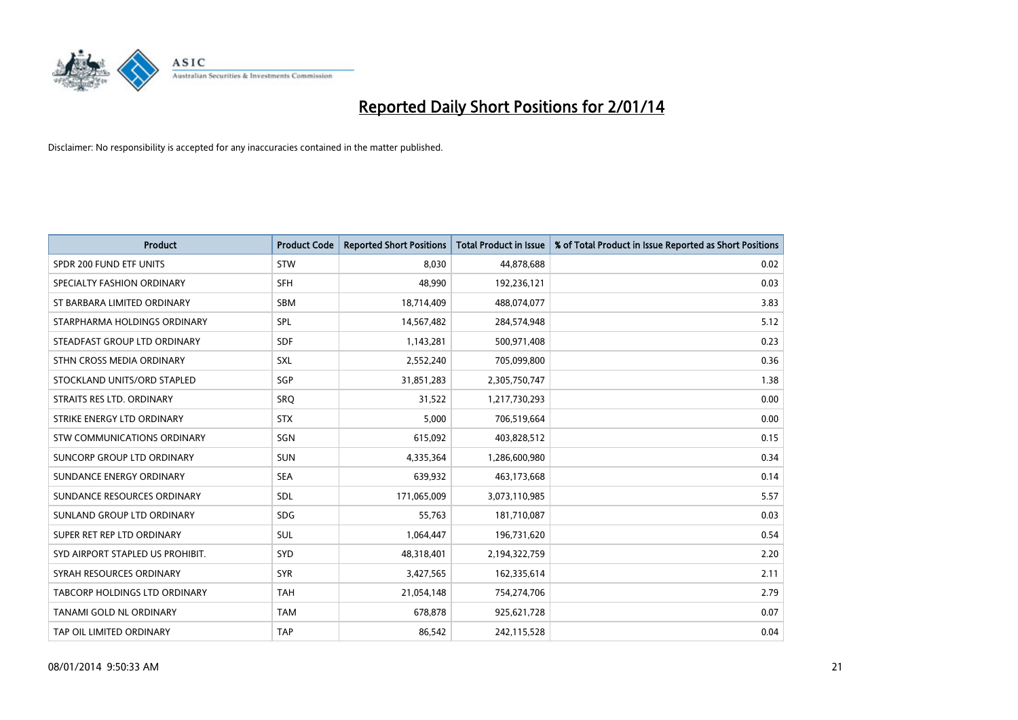

| <b>Product</b>                   | <b>Product Code</b> | <b>Reported Short Positions</b> | <b>Total Product in Issue</b> | % of Total Product in Issue Reported as Short Positions |
|----------------------------------|---------------------|---------------------------------|-------------------------------|---------------------------------------------------------|
| SPDR 200 FUND ETF UNITS          | STW                 | 8,030                           | 44,878,688                    | 0.02                                                    |
| SPECIALTY FASHION ORDINARY       | <b>SFH</b>          | 48,990                          | 192,236,121                   | 0.03                                                    |
| ST BARBARA LIMITED ORDINARY      | <b>SBM</b>          | 18,714,409                      | 488,074,077                   | 3.83                                                    |
| STARPHARMA HOLDINGS ORDINARY     | <b>SPL</b>          | 14,567,482                      | 284,574,948                   | 5.12                                                    |
| STEADFAST GROUP LTD ORDINARY     | <b>SDF</b>          | 1,143,281                       | 500,971,408                   | 0.23                                                    |
| STHN CROSS MEDIA ORDINARY        | <b>SXL</b>          | 2,552,240                       | 705,099,800                   | 0.36                                                    |
| STOCKLAND UNITS/ORD STAPLED      | <b>SGP</b>          | 31,851,283                      | 2,305,750,747                 | 1.38                                                    |
| STRAITS RES LTD. ORDINARY        | SRO                 | 31,522                          | 1,217,730,293                 | 0.00                                                    |
| STRIKE ENERGY LTD ORDINARY       | <b>STX</b>          | 5,000                           | 706,519,664                   | 0.00                                                    |
| STW COMMUNICATIONS ORDINARY      | SGN                 | 615,092                         | 403,828,512                   | 0.15                                                    |
| SUNCORP GROUP LTD ORDINARY       | <b>SUN</b>          | 4,335,364                       | 1,286,600,980                 | 0.34                                                    |
| SUNDANCE ENERGY ORDINARY         | <b>SEA</b>          | 639,932                         | 463,173,668                   | 0.14                                                    |
| SUNDANCE RESOURCES ORDINARY      | <b>SDL</b>          | 171,065,009                     | 3,073,110,985                 | 5.57                                                    |
| SUNLAND GROUP LTD ORDINARY       | <b>SDG</b>          | 55,763                          | 181,710,087                   | 0.03                                                    |
| SUPER RET REP LTD ORDINARY       | <b>SUL</b>          | 1,064,447                       | 196,731,620                   | 0.54                                                    |
| SYD AIRPORT STAPLED US PROHIBIT. | SYD                 | 48,318,401                      | 2,194,322,759                 | 2.20                                                    |
| SYRAH RESOURCES ORDINARY         | <b>SYR</b>          | 3,427,565                       | 162,335,614                   | 2.11                                                    |
| TABCORP HOLDINGS LTD ORDINARY    | <b>TAH</b>          | 21,054,148                      | 754,274,706                   | 2.79                                                    |
| TANAMI GOLD NL ORDINARY          | <b>TAM</b>          | 678,878                         | 925,621,728                   | 0.07                                                    |
| TAP OIL LIMITED ORDINARY         | <b>TAP</b>          | 86,542                          | 242,115,528                   | 0.04                                                    |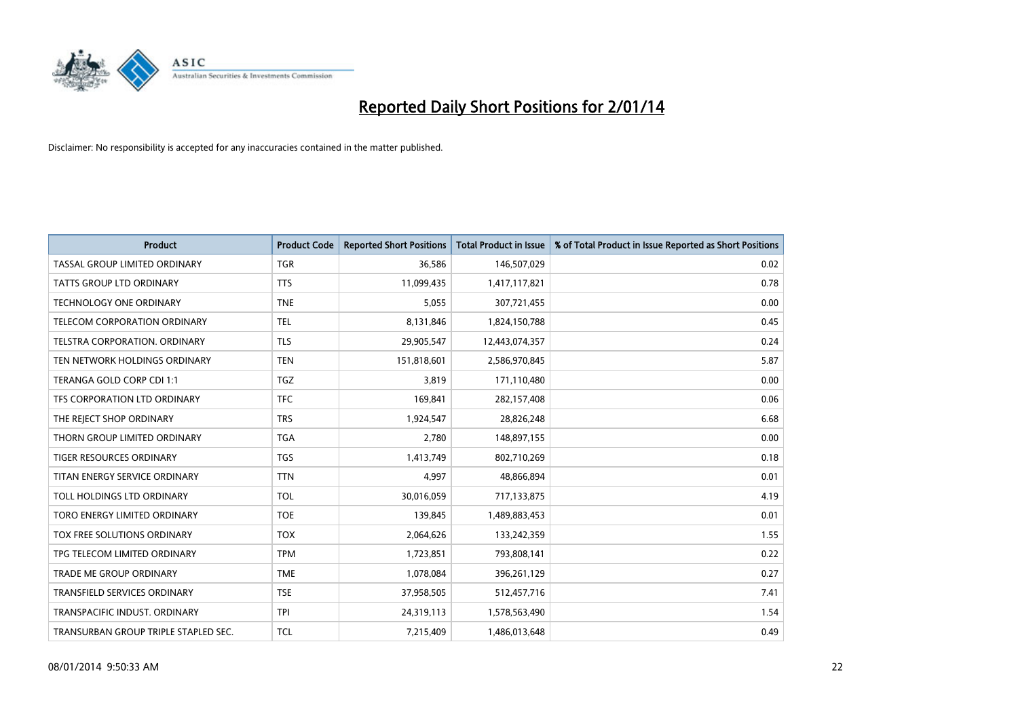

| <b>Product</b>                       | <b>Product Code</b> | <b>Reported Short Positions</b> | <b>Total Product in Issue</b> | % of Total Product in Issue Reported as Short Positions |
|--------------------------------------|---------------------|---------------------------------|-------------------------------|---------------------------------------------------------|
| TASSAL GROUP LIMITED ORDINARY        | <b>TGR</b>          | 36,586                          | 146,507,029                   | 0.02                                                    |
| TATTS GROUP LTD ORDINARY             | <b>TTS</b>          | 11,099,435                      | 1,417,117,821                 | 0.78                                                    |
| <b>TECHNOLOGY ONE ORDINARY</b>       | <b>TNE</b>          | 5,055                           | 307,721,455                   | 0.00                                                    |
| TELECOM CORPORATION ORDINARY         | <b>TEL</b>          | 8,131,846                       | 1,824,150,788                 | 0.45                                                    |
| TELSTRA CORPORATION, ORDINARY        | <b>TLS</b>          | 29,905,547                      | 12,443,074,357                | 0.24                                                    |
| TEN NETWORK HOLDINGS ORDINARY        | <b>TEN</b>          | 151,818,601                     | 2,586,970,845                 | 5.87                                                    |
| TERANGA GOLD CORP CDI 1:1            | <b>TGZ</b>          | 3,819                           | 171,110,480                   | 0.00                                                    |
| TFS CORPORATION LTD ORDINARY         | <b>TFC</b>          | 169,841                         | 282,157,408                   | 0.06                                                    |
| THE REJECT SHOP ORDINARY             | <b>TRS</b>          | 1,924,547                       | 28,826,248                    | 6.68                                                    |
| THORN GROUP LIMITED ORDINARY         | <b>TGA</b>          | 2,780                           | 148,897,155                   | 0.00                                                    |
| TIGER RESOURCES ORDINARY             | <b>TGS</b>          | 1,413,749                       | 802,710,269                   | 0.18                                                    |
| TITAN ENERGY SERVICE ORDINARY        | <b>TTN</b>          | 4,997                           | 48,866,894                    | 0.01                                                    |
| TOLL HOLDINGS LTD ORDINARY           | <b>TOL</b>          | 30,016,059                      | 717,133,875                   | 4.19                                                    |
| TORO ENERGY LIMITED ORDINARY         | <b>TOE</b>          | 139,845                         | 1,489,883,453                 | 0.01                                                    |
| TOX FREE SOLUTIONS ORDINARY          | <b>TOX</b>          | 2,064,626                       | 133,242,359                   | 1.55                                                    |
| TPG TELECOM LIMITED ORDINARY         | <b>TPM</b>          | 1,723,851                       | 793,808,141                   | 0.22                                                    |
| <b>TRADE ME GROUP ORDINARY</b>       | <b>TME</b>          | 1,078,084                       | 396,261,129                   | 0.27                                                    |
| TRANSFIELD SERVICES ORDINARY         | <b>TSE</b>          | 37,958,505                      | 512,457,716                   | 7.41                                                    |
| TRANSPACIFIC INDUST, ORDINARY        | <b>TPI</b>          | 24,319,113                      | 1,578,563,490                 | 1.54                                                    |
| TRANSURBAN GROUP TRIPLE STAPLED SEC. | <b>TCL</b>          | 7,215,409                       | 1,486,013,648                 | 0.49                                                    |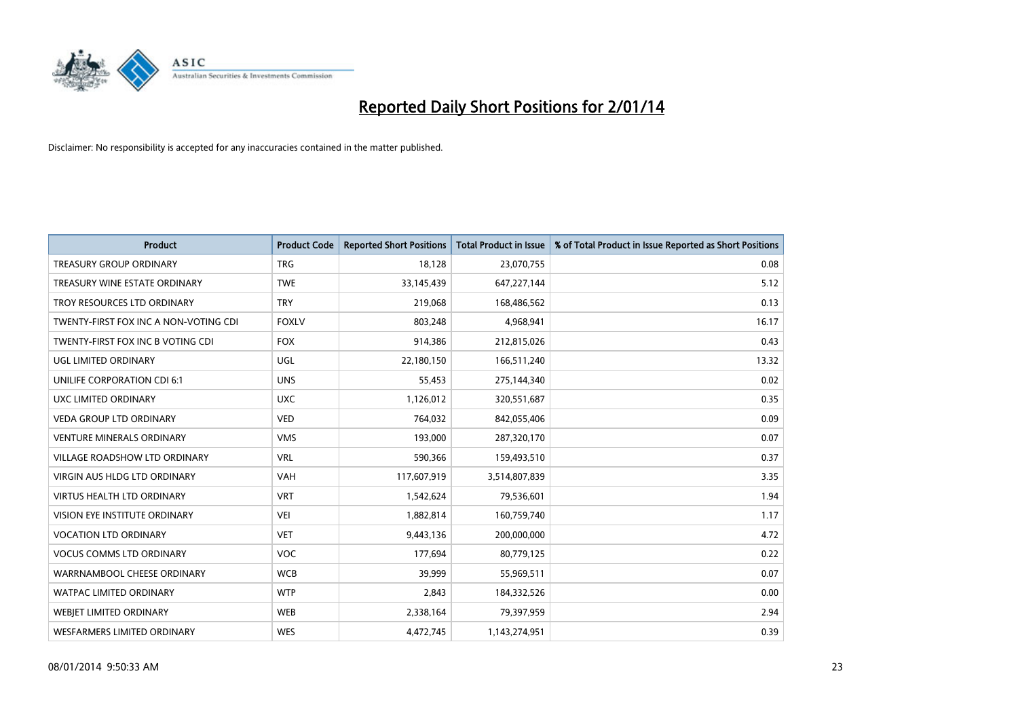

| <b>Product</b>                        | <b>Product Code</b> | <b>Reported Short Positions</b> | <b>Total Product in Issue</b> | % of Total Product in Issue Reported as Short Positions |
|---------------------------------------|---------------------|---------------------------------|-------------------------------|---------------------------------------------------------|
| <b>TREASURY GROUP ORDINARY</b>        | <b>TRG</b>          | 18,128                          | 23,070,755                    | 0.08                                                    |
| TREASURY WINE ESTATE ORDINARY         | <b>TWE</b>          | 33,145,439                      | 647,227,144                   | 5.12                                                    |
| TROY RESOURCES LTD ORDINARY           | <b>TRY</b>          | 219,068                         | 168,486,562                   | 0.13                                                    |
| TWENTY-FIRST FOX INC A NON-VOTING CDI | <b>FOXLV</b>        | 803,248                         | 4,968,941                     | 16.17                                                   |
| TWENTY-FIRST FOX INC B VOTING CDI     | <b>FOX</b>          | 914,386                         | 212,815,026                   | 0.43                                                    |
| UGL LIMITED ORDINARY                  | UGL                 | 22,180,150                      | 166,511,240                   | 13.32                                                   |
| UNILIFE CORPORATION CDI 6:1           | <b>UNS</b>          | 55,453                          | 275,144,340                   | 0.02                                                    |
| UXC LIMITED ORDINARY                  | <b>UXC</b>          | 1,126,012                       | 320,551,687                   | 0.35                                                    |
| <b>VEDA GROUP LTD ORDINARY</b>        | <b>VED</b>          | 764,032                         | 842,055,406                   | 0.09                                                    |
| <b>VENTURE MINERALS ORDINARY</b>      | <b>VMS</b>          | 193,000                         | 287,320,170                   | 0.07                                                    |
| VILLAGE ROADSHOW LTD ORDINARY         | <b>VRL</b>          | 590,366                         | 159,493,510                   | 0.37                                                    |
| <b>VIRGIN AUS HLDG LTD ORDINARY</b>   | <b>VAH</b>          | 117,607,919                     | 3,514,807,839                 | 3.35                                                    |
| <b>VIRTUS HEALTH LTD ORDINARY</b>     | <b>VRT</b>          | 1,542,624                       | 79,536,601                    | 1.94                                                    |
| VISION EYE INSTITUTE ORDINARY         | <b>VEI</b>          | 1,882,814                       | 160,759,740                   | 1.17                                                    |
| <b>VOCATION LTD ORDINARY</b>          | <b>VET</b>          | 9,443,136                       | 200,000,000                   | 4.72                                                    |
| <b>VOCUS COMMS LTD ORDINARY</b>       | VOC                 | 177,694                         | 80,779,125                    | 0.22                                                    |
| WARRNAMBOOL CHEESE ORDINARY           | <b>WCB</b>          | 39,999                          | 55,969,511                    | 0.07                                                    |
| WATPAC LIMITED ORDINARY               | <b>WTP</b>          | 2,843                           | 184,332,526                   | 0.00                                                    |
| <b>WEBIET LIMITED ORDINARY</b>        | <b>WEB</b>          | 2,338,164                       | 79,397,959                    | 2.94                                                    |
| <b>WESFARMERS LIMITED ORDINARY</b>    | <b>WES</b>          | 4,472,745                       | 1,143,274,951                 | 0.39                                                    |